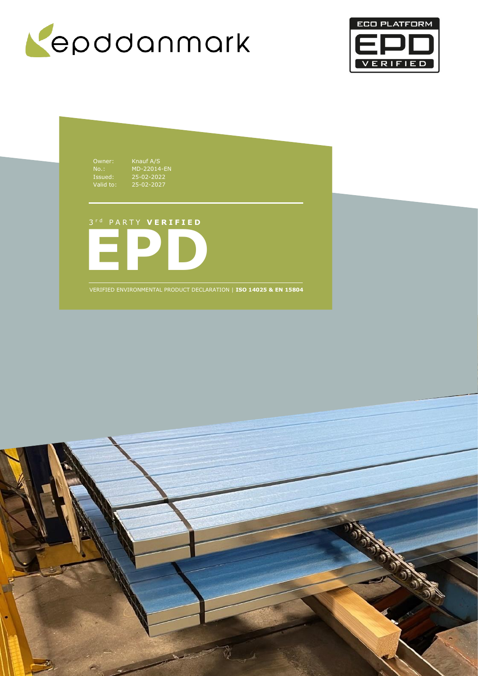



Owner: Knauf A/S No.: MD-22014-EN Issued: 25-02-2022 Valid to: 25-02-2027

## 3 r d P A R T Y **V E R I F I E D**



VERIFIED ENVIRONMENTAL PRODUCT DECLARATION | **ISO 14025 & EN 15804**

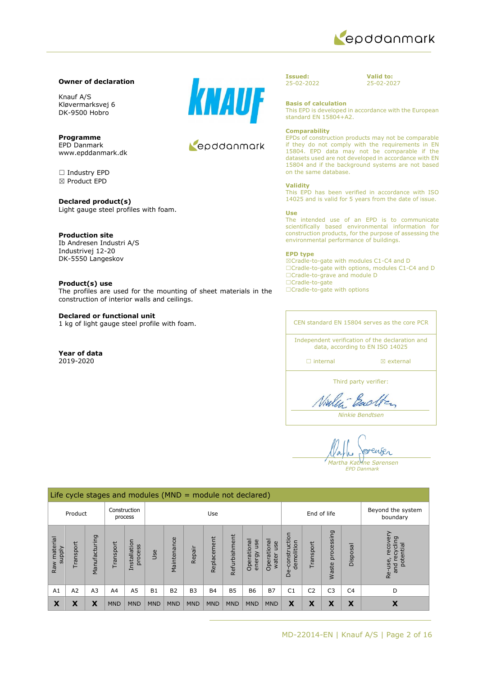

#### **Owner of declaration**

Knauf A/S Kløvermarksvej 6 DK-9500 Hobro

**Programme** EPD Danmark www.epddanmark.dk

☐ Industry EPD ☒ Product EPD

**Declared product(s)** Light gauge steel profiles with foam.

## **Production site**

Ib Andresen Industri A/S Industrivej 12-20 DK-5550 Langeskov

#### **Product(s) use**

The profiles are used for the mounting of sheet materials in the construction of interior walls and ceilings.

#### **Declared or functional unit**

1 kg of light gauge steel profile with foam.

**Year of data** 2019-2020



## Leoddonmark

**Issued:** 25-02-2022

**Valid to:** 25-02-2027

**Basis of calculation**

This EPD is developed in accordance with the European standard EN 15804+A2.

#### **Comparability**

EPDs of construction products may not be comparable if they do not comply with the requirements in EN 15804. EPD data may not be comparable if the datasets used are not developed in accordance with EN 15804 and if the background systems are not based on the same database.

#### **Validity**

This EPD has been verified in accordance with ISO 14025 and is valid for 5 years from the date of issue.

#### **Use**

The intended use of an EPD is to communicate scientifically based environmental information for construction products, for the purpose of assessing the environmental performance of buildings.

#### **EPD type**

☒Cradle-to-gate with modules C1-C4 and D ☐Cradle-to-gate with options, modules C1-C4 and D ☐Cradle-to-grave and module D ☐Cradle-to-gate ☐Cradle-to-gate with options

CEN standard EN 15804 serves as the core PCR

Independent verification of the declaration and data, according to EN ISO 14025

☐ internal ☒ external

Third party verifier:

Bach

*Ninkie Bendtsen*

enser *Martha Katrine Sørensen*

*EPD Danmark*

|                                    | Life cycle stages and modules ( $MND =$ module not declared) |                |                |                         |            |                 |            |             |               |                              |                             |                                 |                |                     |                               |                                                     |
|------------------------------------|--------------------------------------------------------------|----------------|----------------|-------------------------|------------|-----------------|------------|-------------|---------------|------------------------------|-----------------------------|---------------------------------|----------------|---------------------|-------------------------------|-----------------------------------------------------|
| Construction<br>Product<br>process |                                                              |                |                | Use                     |            |                 |            |             |               |                              | End of life                 |                                 |                |                     | Beyond the system<br>boundary |                                                     |
| material<br><b>Alddns</b><br>Raw   | ransport                                                     | Manufacturing  | ransport       | Installation<br>process | Jse        | nce<br>Maintena | Repair     | Replacement | Refurbishment | Operational<br>use<br>energy | Operational<br>use<br>water | construction<br>demolition<br>å | Transport      | processing<br>Waste | Disposal                      | recover<br>recycling<br>potential<br>Re-use,<br>and |
| A <sub>1</sub>                     | A2                                                           | A <sub>3</sub> | A <sub>4</sub> | A <sub>5</sub>          | <b>B1</b>  | <b>B2</b>       | <b>B3</b>  | <b>B4</b>   | <b>B5</b>     | <b>B6</b>                    | <b>B7</b>                   | C <sub>1</sub>                  | C <sub>2</sub> | C <sub>3</sub>      | C <sub>4</sub>                | D                                                   |
| X                                  | X                                                            | X              | <b>MND</b>     | <b>MND</b>              | <b>MND</b> | <b>MND</b>      | <b>MND</b> | <b>MND</b>  | <b>MND</b>    | <b>MND</b>                   | <b>MND</b>                  | X                               | X              | X                   | X                             | X                                                   |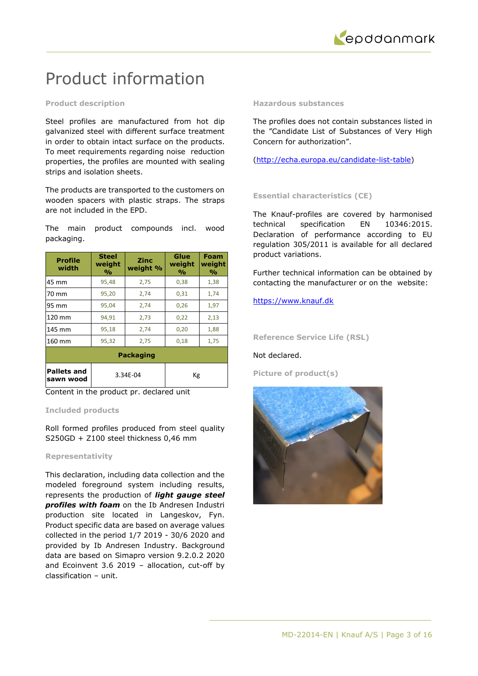

## Product information

## **Product description**

Steel profiles are manufactured from hot dip galvanized steel with different surface treatment in order to obtain intact surface on the products. To meet requirements regarding noise reduction properties, the profiles are mounted with sealing strips and isolation sheets.

The products are transported to the customers on wooden spacers with plastic straps. The straps are not included in the EPD.

The main product compounds incl. wood packaging.

| <b>Profile</b><br>width         | <b>Steel</b><br>weight<br>$\frac{0}{0}$ | <b>Zinc</b><br>weight % | Glue<br>weight<br>$\frac{0}{\alpha}$ | Foam<br>weight<br>$\frac{0}{0}$ |  |  |  |  |
|---------------------------------|-----------------------------------------|-------------------------|--------------------------------------|---------------------------------|--|--|--|--|
| 45 mm                           | 95,48                                   | 2,75                    | 0,38                                 | 1,38                            |  |  |  |  |
| 70 mm                           | 95,20                                   | 2,74                    | 0,31                                 | 1,74                            |  |  |  |  |
| 95 mm                           | 95,04                                   | 2,74                    | 0,26                                 | 1,97                            |  |  |  |  |
| 120 mm                          | 94,91                                   | 2,73                    | 0,22                                 | 2,13                            |  |  |  |  |
| 145 mm                          | 95,18                                   | 2,74                    | 0,20                                 | 1,88                            |  |  |  |  |
| 160 mm                          | 95,32                                   | 2,75                    | 0,18                                 | 1,75                            |  |  |  |  |
| <b>Packaging</b>                |                                         |                         |                                      |                                 |  |  |  |  |
| <b>Pallets and</b><br>sawn wood |                                         | 3.34E-04                | Кg                                   |                                 |  |  |  |  |

Content in the product pr. declared unit

## **Included products**

Roll formed profiles produced from steel quality S250GD + Z100 steel thickness 0,46 mm

## **Representativity**

This declaration, including data collection and the modeled foreground system including results, represents the production of *light gauge steel profiles with foam* on the Ib Andresen Industri production site located in Langeskov, Fyn. Product specific data are based on average values collected in the period 1/7 2019 - 30/6 2020 and provided by Ib Andresen Industry. Background data are based on Simapro version 9.2.0.2 2020 and Ecoinvent 3.6 2019 – allocation, cut-off by classification – unit.

## **Hazardous substances**

The profiles does not contain substances listed in the "Candidate List of Substances of Very High Concern for authorization".

[\(http://echa.europa.eu/candidate-list-table\)](http://echa.europa.eu/candidate-list-table)

## **Essential characteristics (CE)**

The Knauf-profiles are covered by harmonised technical specification EN 10346:2015. Declaration of performance according to EU regulation 305/2011 is available for all declared product variations.

Further technical information can be obtained by contacting the manufacturer or on the website:

## [https://www.knauf.dk](https://www.knauf.dk/)

**Reference Service Life (RSL)**

## Not declared.

**Picture of product(s)**

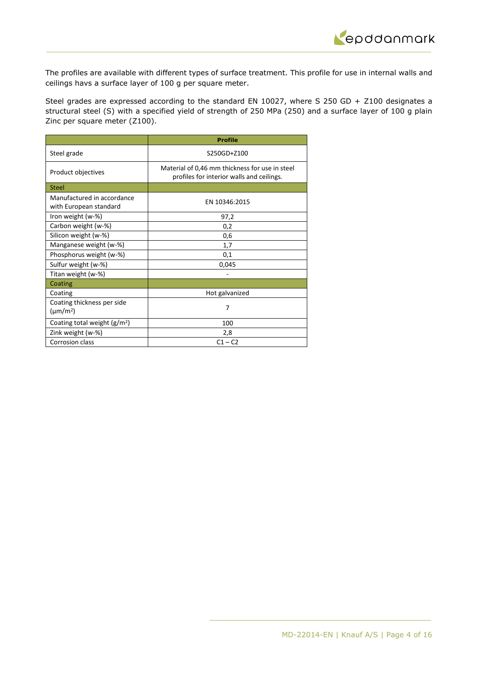

The profiles are available with different types of surface treatment. This profile for use in internal walls and ceilings havs a surface layer of 100 g per square meter.

Steel grades are expressed according to the standard EN 10027, where S 250 GD + Z100 designates a structural steel (S) with a specified yield of strength of 250 MPa (250) and a surface layer of 100 g plain Zinc per square meter (Z100).

|                                                      | <b>Profile</b>                                                                              |
|------------------------------------------------------|---------------------------------------------------------------------------------------------|
| Steel grade                                          | S250GD+Z100                                                                                 |
| Product objectives                                   | Material of 0,46 mm thickness for use in steel<br>profiles for interior walls and ceilings. |
| Steel                                                |                                                                                             |
| Manufactured in accordance<br>with European standard | EN 10346:2015                                                                               |
| Iron weight (w-%)                                    | 97,2                                                                                        |
| Carbon weight (w-%)                                  | 0,2                                                                                         |
| Silicon weight (w-%)                                 | 0,6                                                                                         |
| Manganese weight (w-%)                               | 1,7                                                                                         |
| Phosphorus weight (w-%)                              | 0,1                                                                                         |
| Sulfur weight (w-%)                                  | 0,045                                                                                       |
| Titan weight (w-%)                                   |                                                                                             |
| Coating                                              |                                                                                             |
| Coating                                              | Hot galvanized                                                                              |
| Coating thickness per side<br>$(\mu m/m^2)$          | 7                                                                                           |
| Coating total weight $(g/m^2)$                       | 100                                                                                         |
| Zink weight (w-%)                                    | 2,8                                                                                         |
| Corrosion class                                      | $C1 - C2$                                                                                   |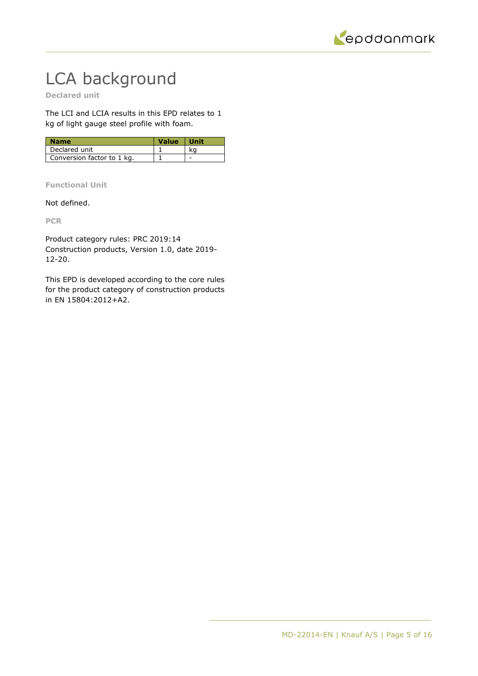

# LCA background

**Declared unit**

The LCI and LCIA results in this EPD relates to 1 kg of light gauge steel profile with foam.

| <b>Name</b>                | <b>Value</b> | <b>White</b> |
|----------------------------|--------------|--------------|
| Declared unit              |              |              |
| Conversion factor to 1 kg. |              |              |

**Functional Unit**

Not defined.

**PCR**

Product category rules: PRC 2019:14 Construction products, Version 1.0, date 2019- 12-20.

This EPD is developed according to the core rules for the product category of construction products in EN 15804:2012+A2.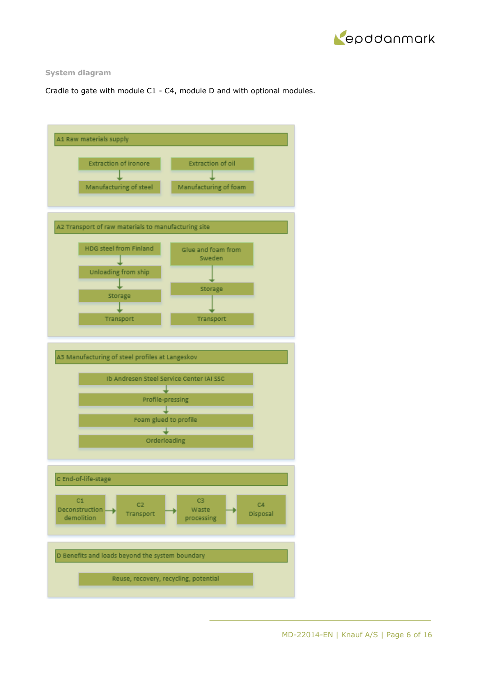

## **System diagram**

Cradle to gate with module C1 - C4, module D and with optional modules.

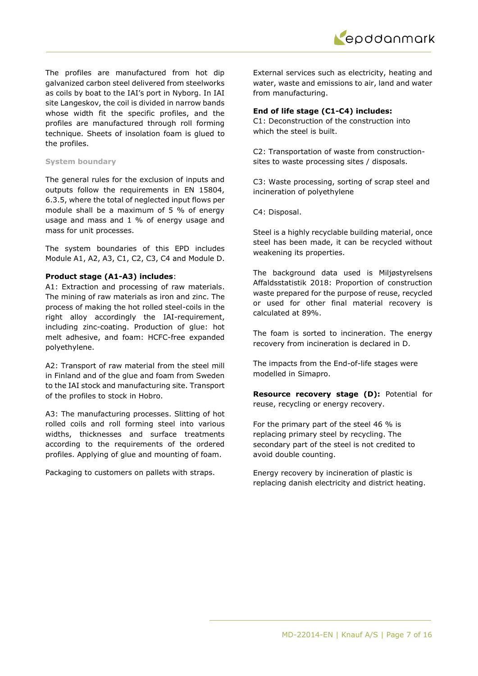The profiles are manufactured from hot dip galvanized carbon steel delivered from steelworks as coils by boat to the IAI's port in Nyborg. In IAI site Langeskov, the coil is divided in narrow bands whose width fit the specific profiles, and the profiles are manufactured through roll forming technique. Sheets of insolation foam is glued to the profiles.

## **System boundary**

The general rules for the exclusion of inputs and outputs follow the requirements in EN 15804, 6.3.5, where the total of neglected input flows per module shall be a maximum of 5 % of energy usage and mass and 1 % of energy usage and mass for unit processes.

The system boundaries of this EPD includes Module A1, A2, A3, C1, C2, C3, C4 and Module D.

## **Product stage (A1-A3) includes**:

A1: Extraction and processing of raw materials. The mining of raw materials as iron and zinc. The process of making the hot rolled steel-coils in the right alloy accordingly the IAI-requirement, including zinc-coating. Production of glue: hot melt adhesive, and foam: HCFC-free expanded polyethylene.

A2: Transport of raw material from the steel mill in Finland and of the glue and foam from Sweden to the IAI stock and manufacturing site. Transport of the profiles to stock in Hobro.

A3: The manufacturing processes. Slitting of hot rolled coils and roll forming steel into various widths, thicknesses and surface treatments according to the requirements of the ordered profiles. Applying of glue and mounting of foam.

Packaging to customers on pallets with straps.

External services such as electricity, heating and water, waste and emissions to air, land and water from manufacturing.

## **End of life stage (C1-C4) includes:**

C1: Deconstruction of the construction into which the steel is built.

C2: Transportation of waste from constructionsites to waste processing sites / disposals.

C3: Waste processing, sorting of scrap steel and incineration of polyethylene

C4: Disposal.

Steel is a highly recyclable building material, once steel has been made, it can be recycled without weakening its properties.

The background data used is Miljøstyrelsens Affaldsstatistik 2018: Proportion of construction waste prepared for the purpose of reuse, recycled or used for other final material recovery is calculated at 89%.

The foam is sorted to incineration. The energy recovery from incineration is declared in D.

The impacts from the End-of-life stages were modelled in Simapro.

**Resource recovery stage (D):** Potential for reuse, recycling or energy recovery.

For the primary part of the steel 46 % is replacing primary steel by recycling. The secondary part of the steel is not credited to avoid double counting.

Energy recovery by incineration of plastic is replacing danish electricity and district heating.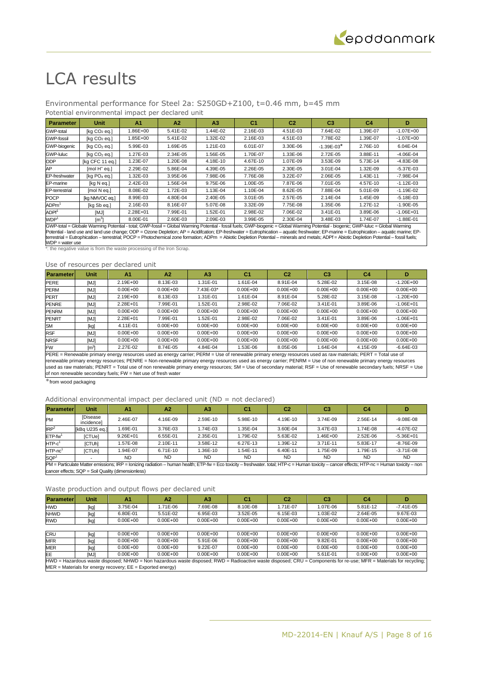## LCA results

## Environmental performance for Steel 2a: S250GD+Z100, t=0.46 mm, b=45 mm

#### Potential environmental impact per declared unit

| Parameter             | <b>Unit</b>                                                                                                                                                                         | A <sub>1</sub> | A2       | A <sub>3</sub> | C <sub>1</sub> | C <sub>2</sub> | C <sub>3</sub> | C <sub>4</sub> | D             |
|-----------------------|-------------------------------------------------------------------------------------------------------------------------------------------------------------------------------------|----------------|----------|----------------|----------------|----------------|----------------|----------------|---------------|
| <b>GWP-total</b>      | [kg CO <sub>2</sub> eg.]                                                                                                                                                            | $.86E + 00$    | 5.41E-02 | 1.44E-02       | 2.16E-03       | 4.51E-03       | 7.64E-02       | 1.39E-07       | $-1.07E + 00$ |
| <b>GWP-fossil</b>     | [kg CO <sub>2</sub> eg.]                                                                                                                                                            | $.85E + 00$    | 5.41E-02 | 1.32E-02       | 2.16E-03       | 4.51E-03       | 7.78E-02       | 1.39E-07       | $-1.07E + 00$ |
| GWP-biogenic          | [ $kq$ $CO2$ eq.]                                                                                                                                                                   | 5.99E-03       | 1.69E-05 | 1.21E-03       | 6.01E-07       | 3.30E-06       | $-1.39E - 03*$ | 2.76E-10       | 6.04E-04      |
| GWP-luluc             | [ $kq$ $CO2$ eq.]                                                                                                                                                                   | $.27E-03$      | 2.34E-05 | 1.56E-05       | 1.70E-07       | 1.33E-06       | 2.72E-05       | 3.88E-11       | $-4.06E - 04$ |
| <b>ODP</b>            | [kg CFC 11 eq.]                                                                                                                                                                     | .23E-07        | 1.20E-08 | 4.18E-10       | 4.67E-10       | 1.07E-09       | 3.53E-09       | 5.73E-14       | $-4.83E - 08$ |
| AP                    | $[mol H+ eq.]$                                                                                                                                                                      | 2.29E-02       | 5.86E-04 | 4.39E-05       | 2.26E-05       | 2.30E-05       | 3.01E-04       | 1.32E-09       | $-5.37E - 03$ |
| EP-freshwater         | [ $kq$ PO <sub>4</sub> eq.]                                                                                                                                                         | $.32E-03$      | 3.95E-06 | 7.98E-06       | 7.76E-08       | 3.22E-07       | 2.06E-05       | 1.43E-11       | $-7.98E - 04$ |
| EP-marine             | [kg N eg.]                                                                                                                                                                          | 2.42E-03       | 1.56E-04 | 9.75E-06       | 1.00E-05       | 7.87E-06       | 7.01E-05       | 4.57E-10       | $-1.12E - 03$ |
| <b>EP-terrestrial</b> | [mol N eq.]                                                                                                                                                                         | 8.08E-02       | 1.72E-03 | 1.13E-04       | 1.10E-04       | 8.62E-05       | 7.88E-04       | 5.01E-09       | $-1.19E - 02$ |
| <b>POCP</b>           | [kg NMVOC eq.]                                                                                                                                                                      | 8.99E-03       | 4.80E-04 | 2.40E-05       | $3.01E - 05$   | 2.57E-05       | 2.14E-04       | 1.45E-09       | $-5.18E - 03$ |
| ADPm <sup>1</sup>     | [kg Sb eg.]                                                                                                                                                                         | 2.16E-03       | 8.16E-07 | 5.07E-08       | 3.32E-09       | 7.75E-08       | 1.35E-06       | 1.27E-12       | $-1.90E - 05$ |
| ADPf <sup>1</sup>     | [MJ]                                                                                                                                                                                | 2.28E+01       | 7.99E-01 | 1.52E-01       | 2.98E-02       | 7.06E-02       | 3.41E-01       | 3.89E-06       | $-1.06E + 01$ |
| WDP <sup>1</sup>      | $\lceil m^3 \rceil$                                                                                                                                                                 | 8.00E-01       | 2.60E-03 | 2.09E-03       | 3.99E-05       | 2.30E-04       | 3.48E-03       | 1.74E-07       | $-1.88E - 01$ |
|                       | GWP-total = Globale Warming Potential - total: GWP-fossil = Global Warming Potential - fossil fuels: GWP-biogenic = Global Warming Potential - biogenic: GWP-luluc = Global Warming |                |          |                |                |                |                |                |               |

GWP-total = Globale Warming Potential - total; GWP-fossil = Global Warming Potential - fossil fuels; GWP-biogenic = Global Warming Potential - biogenic; GWP-luluc = Global Warming<br>Potential - land use and land use change;  $WDP = water use$ 

\*: the negative value is from the waste processing of the Iron Scrap.

#### Use of resources per declared unit

| <b>Parameter</b> | <b>Unit</b>                                                                                                                                                                                                                                                                                                                       | A <sub>1</sub> | A <sub>2</sub> | A <sub>3</sub> | C <sub>1</sub> | C2           | C <sub>3</sub> | C4           | D             |  |  |
|------------------|-----------------------------------------------------------------------------------------------------------------------------------------------------------------------------------------------------------------------------------------------------------------------------------------------------------------------------------|----------------|----------------|----------------|----------------|--------------|----------------|--------------|---------------|--|--|
| <b>PERE</b>      | [MJ]                                                                                                                                                                                                                                                                                                                              | $2.19E + 00$   | 8.13E-03       | 1.31E-01       | 1.61E-04       | 8.91E-04     | 5.28E-02       | 3.15E-08     | $-1.20E + 00$ |  |  |
| <b>PERM</b>      | [MJ]                                                                                                                                                                                                                                                                                                                              | $0.00E + 00$   | $0.00E + 00$   | 7.43E-03*      | $0.00E + 00$   | $0.00E + 00$ | $0.00E + 00$   | $0.00E + 00$ | $0.00E + 00$  |  |  |
| <b>PERT</b>      | [MJ]                                                                                                                                                                                                                                                                                                                              | $2.19E + 00$   | 8.13E-03       | 1.31E-01       | 1.61E-04       | 8.91E-04     | 5.28E-02       | 3.15E-08     | $-1.20E + 00$ |  |  |
| <b>PENRE</b>     | [MJ]                                                                                                                                                                                                                                                                                                                              | 2.28E+01       | 7.99E-01       | 1.52E-01       | 2.98E-02       | 7.06E-02     | 3.41E-01       | 3.89E-06     | $-1.06E + 01$ |  |  |
| <b>PENRM</b>     | [MJ]                                                                                                                                                                                                                                                                                                                              | $0.00E + 00$   | $0.00E + 00$   | $0.00E + 00$   | $0.00E + 00$   | $0.00E + 00$ | $0.00E + 00$   | $0.00E + 00$ | $0.00E + 00$  |  |  |
| <b>PENRT</b>     | [MJ]                                                                                                                                                                                                                                                                                                                              | 2.28E+01       | 7.99E-01       | 1.52E-01       | 2.98E-02       | 7.06E-02     | 3.41E-01       | 3.89E-06     | $-1.06E + 01$ |  |  |
| <b>SM</b>        | [kg]                                                                                                                                                                                                                                                                                                                              | 4.11E-01       | $0.00E + 00$   | $0.00E + 00$   | $0.00E + 00$   | $0.00E + 00$ | $0.00E + 00$   | $0.00E + 00$ | $0.00E + 00$  |  |  |
| <b>RSF</b>       | [MJ]                                                                                                                                                                                                                                                                                                                              | $0.00E + 00$   | $0.00E + 00$   | $0.00E + 00$   | $0.00E + 00$   | $0.00E + 00$ | $0.00E + 00$   | $0.00E + 00$ | $0.00E + 00$  |  |  |
| <b>NRSF</b>      | [MJ]                                                                                                                                                                                                                                                                                                                              | $0.00E + 00$   | $0.00E + 00$   | $0.00E + 00$   | $0.00E + 00$   | $0.00E + 00$ | $0.00E + 00$   | $0.00E + 00$ | $0.00E + 00$  |  |  |
| <b>FW</b>        | $\lceil m^3 \rceil$                                                                                                                                                                                                                                                                                                               | 2.27E-02       | 8.74E-05       | 4.84E-04       | 1.53E-06       | 8.05E-06     | 1.64E-04       | 4.15E-09     | $-6.64E-03$   |  |  |
|                  | PERE = Renewable primary energy resources used as energy carrier; PERM = Use of renewable primary energy resources used as raw materials; PERT = Total use of<br>renewable primary energy resources; PENRE = Non-renewable primary energy resources used as energy carrier; PENRM = Use of non renewable primary energy resources |                |                |                |                |              |                |              |               |  |  |

used as raw materials; PENRT = Total use of non renewable primary energy resources; SM = Use of secondary material; RSF = Use of renewable secondary fuels; NRSF = Use of non renewable secondary fuels; FW = Net use of fresh water

 $*$  from wood packaging

## Additional environmental impact per declared unit (ND = not declared)

| <b>Parameter</b>                                                                                                                                                                              | <b>Unit</b>                                        | A <sub>1</sub> | A <sub>2</sub> | A3       | C <sub>1</sub> | C <sub>2</sub> | C3        | C4        | D             |  |
|-----------------------------------------------------------------------------------------------------------------------------------------------------------------------------------------------|----------------------------------------------------|----------------|----------------|----------|----------------|----------------|-----------|-----------|---------------|--|
| PM                                                                                                                                                                                            | [Disease<br>incidencel                             | 2.46E-07       | 4.16E-09       | 2.59E-10 | 5.98E-10       | 4.19E-10       | 3.74E-09  | 2.56E-14  | $-9.08E - 08$ |  |
| IRP <sup>2</sup>                                                                                                                                                                              | [kBq U235 eq.]                                     | .69E-01        | 3.76E-03       | 1.74E-03 | 1.35E-04       | 3.60E-04       | 3.47E-03  | 1.74E-08  | $-4.07E - 02$ |  |
| $ETP$ -fw <sup>1</sup>                                                                                                                                                                        | <b>ICTUel</b>                                      | $9.26E + 01$   | 6.55E-01       | 2.35E-01 | 1.79E-02       | 5.63E-02       | 1.46E+00  | 2.52E-06  | $-5.36E + 01$ |  |
| $HTP-c1$                                                                                                                                                                                      | <b>ICTUhl</b>                                      | .57E-08        | 2.10E-11       | 3.58E-12 | 6.27E-13       | 1.39E-12       | 3.71E-11  | 5.83E-17  | $-8.76E - 09$ |  |
| $HTP-nc1$                                                                                                                                                                                     | <b>ICTUhl</b>                                      | $.94E-07$      | 6.71E-10       | 1.36E-10 | 1.54E-11       | 6.40E-11       | .75E-09   | 1.79E-15  | $-3.71E-08$   |  |
| SQP <sup>1</sup>                                                                                                                                                                              |                                                    | <b>ND</b>      | <b>ND</b>      | ND.      | <b>ND</b>      | ND.            | <b>ND</b> | <b>ND</b> | <b>ND</b>     |  |
| PM = Particulate Matter emissions; IRP = Ionizing radiation - human health; ETP-fw = Eco toxicity - freshwater. total; HTP-c = Human toxicity - cancer effects; HTP-nc = Human toxicity - non |                                                    |                |                |          |                |                |           |           |               |  |
|                                                                                                                                                                                               | cancer effects; SQP = Soil Quality (dimensionless) |                |                |          |                |                |           |           |               |  |

| <b>Parameterl</b> | <b>Unit</b>                                                                                                                                                        | A <sub>1</sub> | A <sub>2</sub> | A <sub>3</sub> | C <sub>1</sub> | C <sub>2</sub> | C <sub>3</sub> | C4           | D             |  |  |
|-------------------|--------------------------------------------------------------------------------------------------------------------------------------------------------------------|----------------|----------------|----------------|----------------|----------------|----------------|--------------|---------------|--|--|
| <b>HWD</b>        | [kg]                                                                                                                                                               | 3.75E-04       | 1.71E-06       | 7.69E-08       | 8.10E-08       | 1.71E-07       | 1.07E-06       | 5.81E-12     | $-7.41E - 05$ |  |  |
| <b>NHWD</b>       | [kg]                                                                                                                                                               | 6.80E-01       | 5.51E-02       | 6.95E-03       | 3.52E-05       | 6.15E-03       | 1.03E-02       | 2.64E-05     | 9.67E-03      |  |  |
| <b>RWD</b>        | [kg]                                                                                                                                                               | $0.00E + 00$   | $0.00E + 00$   | $0.00E + 00$   | $0.00E + 00$   | $0.00E + 00$   | $0.00E + 00$   | $0.00E + 00$ | $0.00E + 00$  |  |  |
|                   |                                                                                                                                                                    |                |                |                |                |                |                |              |               |  |  |
| <b>CRU</b>        | [kg]                                                                                                                                                               | $0.00E + 00$   | $0.00E + 00$   | $0.00E + 00$   | $0.00E + 00$   | $0.00E + 00$   | $0.00E + 00$   | $0.00E + 00$ | $0.00E + 00$  |  |  |
| <b>MFR</b>        | [kg]                                                                                                                                                               | $0.00E + 00$   | $0.00E + 00$   | 5.91E-06       | $0.00E + 00$   | $0.00E + 00$   | 9.82E-01       | $0.00E + 00$ | $0.00E + 00$  |  |  |
| <b>MER</b>        | [kg]                                                                                                                                                               | $0.00E + 00$   | $0.00E + 00$   | 9.22E-07       | $0.00E + 00$   | $0.00E + 00$   | $0.00E + 00$   | $0.00E + 00$ | $0.00E + 00$  |  |  |
| EE                | <b>IMJI</b>                                                                                                                                                        | $0.00E + 00$   | $0.00E + 00$   | $0.00E + 00$   | $0.00E + 00$   | $0.00E + 00$   | 5.61E-01       | $0.00E + 00$ | $0.00E + 00$  |  |  |
|                   | HWD = Hazardous waste disposed; NHWD = Non hazardous waste disposed; RWD = Radioactive waste disposed; CRU = Components for re-use; MFR = Materials for recycling; |                |                |                |                |                |                |              |               |  |  |
|                   | $MER$ = Materials for energy recovery; $EE$ = Exported energy)                                                                                                     |                |                |                |                |                |                |              |               |  |  |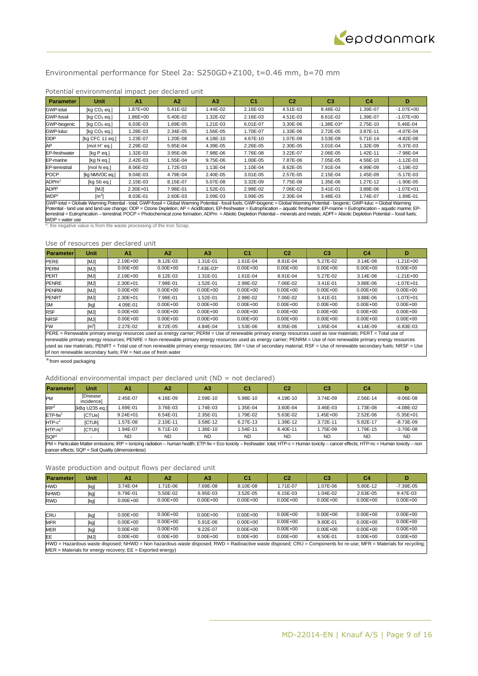

## Environmental performance for Steel 2a: S250GD+Z100, t=0.46 mm, b=70 mm

| <b>Parameter</b>      | <b>Unit</b>     | A <sub>1</sub> | A2       | A3       | C <sub>1</sub> | C <sub>2</sub> | C <sub>3</sub> | C4       | D             |
|-----------------------|-----------------|----------------|----------|----------|----------------|----------------|----------------|----------|---------------|
| <b>GWP-total</b>      | [ $kq CO2$ eq.] | .87E+00        | 5.41E-02 | 1.44E-02 | 2.16E-03       | 4.51E-03       | 8.48E-02       | 1.39E-07 | $-1.07E + 00$ |
| <b>GWP-fossil</b>     | [kg $CO2$ eg.]  | $.86E + 00$    | 5.40E-02 | 1.32E-02 | 2.16E-03       | 4.51E-03       | 8.61E-02       | 1.39E-07 | $-1.07E + 00$ |
| <b>GWP-biogenic</b>   | [kg $CO2$ eg.]  | $6.03E-03$     | 1.69E-05 | 1.21E-03 | 6.01E-07       | 3.30E-06       | $-1.38E - 03*$ | 2.75E-10 | 5.46E-04      |
| GWP-luluc             | [kg $CO2$ eg.]  | .28E-03        | 2.34E-05 | 1.56E-05 | 1.70E-07       | 1.33E-06       | 2.72E-05       | 3.87E-11 | $-4.07E - 04$ |
| <b>ODP</b>            | [kg CFC 11 eg.] | 1.23E-07       | 1.20E-08 | 4.18E-10 | 4.67E-10       | 1.07E-09       | 3.53E-09       | 5.71E-14 | $-4.82E - 08$ |
| AP                    | $[mol H+ eq.]$  | 2.29E-02       | 5.85E-04 | 4.39E-05 | 2.26E-05       | 2.30E-05       | 3.01E-04       | 1.32E-09 | $-5.37E - 03$ |
| EP-freshwater         | [kg P eg.]      | $.32E-03$      | 3.95E-06 | 7.98E-06 | 7.76E-08       | 3.22E-07       | 2.06E-05       | 1.42E-11 | $-7.98E - 04$ |
| EP-marine             | [kg N eg.]      | 2.42E-03       | 1.55E-04 | 9.75E-06 | 1.00E-05       | 7.87E-06       | 7.05E-05       | 4.56E-10 | $-1.12E - 03$ |
| <b>EP-terrestrial</b> | [mol N eq.]     | 8.06E-02       | 1.72E-03 | 1.13E-04 | 1.10E-04       | 8.62E-05       | 7.91E-04       | 4.99E-09 | $-1.19E - 02$ |
| <b>POCP</b>           | [kg NMVOC eq.]  | $9.04E-03$     | 4.79E-04 | 2.40E-05 | $3.01E - 05$   | 2.57E-05       | 2.15E-04       | 1.45E-09 | $-5.17E-03$   |
| ADPm <sup>1</sup>     | [kg Sb eg.]     | 2.15E-03       | 8.15E-07 | 5.07E-08 | 3.32E-09       | 7.75E-08       | 1.35E-06       | 1.27E-12 | $-1.90E - 05$ |
| ADPf <sup>1</sup>     | [MJ]            | 2.30E+01       | 7.98E-01 | 1.52E-01 | 2.98E-02       | 7.06E-02       | 3.41E-01       | 3.88E-06 | $-1.07E + 01$ |
| WDP <sup>1</sup>      | $\mathsf{Im}^3$ | 8.03E-01       | 2.60E-03 | 2.09E-03 | 3.99E-05       | 2.30E-04       | 3.48E-03       | 1.74E-07 | $-1.89E - 01$ |

## Potential environmental impact per declared unit

GWP-total = Globale Warming Potential - total; GWP-fossil = Global Warming Potential - fossil fuels; GWP-biogenic = Global Warming Potential - biogenic; GWP-luluc = Global Warming<br>Potential - land use and land use change; terrestrial = Eutrophication – terrestrial; POCP = Photochemical zone formation; ADPm = Abiotic Depletion Potential – minerals and metals; ADPf = Abiotic Depletion Potential – fossil fuels; WDP = water use \*: the negative value is from the waste processing of the Iron Scrap.

#### Use of resources per declared unit

| <b>Parameterl</b> | <b>Unit</b>         | A <sub>1</sub> | A <sub>2</sub> | A3           | C1           | C2           | C3           | C4           | D             |
|-------------------|---------------------|----------------|----------------|--------------|--------------|--------------|--------------|--------------|---------------|
| <b>PERE</b>       | [MJ]                | $2.19E + 00$   | 8.12E-03       | 1.31E-01     | 1.61E-04     | 8.91E-04     | 5.27E-02     | 3.14E-08     | $-1.21E+00$   |
| <b>PERM</b>       | [MJ]                | $0.00E + 00$   | $0.00E + 00$   | 7.43E-03*    | $0.00E + 00$ | $0.00E + 00$ | $0.00E + 00$ | $0.00E + 00$ | $0.00E + 00$  |
| <b>PERT</b>       | [MJ]                | $2.19E + 00$   | 8.12E-03       | 1.31E-01     | 1.61E-04     | 8.91E-04     | 5.27E-02     | 3.14E-08     | $-1.21E + 00$ |
| <b>PENRE</b>      | [MJ]                | 2.30E+01       | 7.98E-01       | 1.52E-01     | 2.98E-02     | 7.06E-02     | 3.41E-01     | 3.88E-06     | $-1.07E + 01$ |
| <b>PENRM</b>      | [MJ]                | $0.00E + 00$   | $0.00E + 00$   | $0.00E + 00$ | $0.00E + 00$ | $0.00E + 00$ | $0.00E + 00$ | $0.00E + 00$ | $0.00E + 00$  |
| <b>PENRT</b>      | [MJ]                | 2.30E+01       | 7.98E-01       | 1.52E-01     | 2.98E-02     | 7.06E-02     | 3.41E-01     | 3.88E-06     | $-1.07E + 01$ |
| <b>SM</b>         | [kg]                | 4.09E-01       | $0.00E + 00$   | $0.00E + 00$ | $0.00E + 00$ | $0.00E + 00$ | $0.00E + 00$ | $0.00E + 00$ | $0.00E + 00$  |
| <b>RSF</b>        | [MJ]                | $0.00E + 00$   | $0.00E + 00$   | $0.00E + 00$ | $0.00E + 00$ | $0.00E + 00$ | $0.00E + 00$ | $0.00E + 00$ | $0.00E + 00$  |
| <b>NRSF</b>       | [MJ]                | $0.00E + 00$   | $0.00E + 00$   | $0.00E + 00$ | $0.00E + 00$ | $0.00E + 00$ | $0.00E + 00$ | $0.00E + 00$ | $0.00E + 00$  |
| <b>FW</b>         | $\lceil m^3 \rceil$ | 2.27E-02       | 8.72E-05       | 4.84E-04     | 1.53E-06     | 8.05E-06     | .65E-04      | 4.14E-09     | $-6.83E-03$   |

PERE = Renewable primary energy resources used as energy carrier; PERM = Use of renewable primary energy resources used as raw materials; PERT = Total use of renewable primary energy resources; PENRE = Non-renewable primary energy resources used as energy carrier; PENRM = Use of non renewable primary energy resources used as raw materials; PENRT = Total use of non renewable primary energy resources; SM = Use of secondary material; RSF = Use of renewable secondary fuels; NRSF = Use of non renewable secondary fuels; FW = Net use of fresh water

 $*$  from wood packaging

#### Additional environmental impact per declared unit (ND = not declared)

| <b>Parameter</b>                                                                                                                                                                              | Unit                                               | A <sub>1</sub> | A <sub>2</sub> | A <sub>3</sub> | C1        | C <sub>2</sub> | C <sub>3</sub> | C4        |               |  |
|-----------------------------------------------------------------------------------------------------------------------------------------------------------------------------------------------|----------------------------------------------------|----------------|----------------|----------------|-----------|----------------|----------------|-----------|---------------|--|
| PM                                                                                                                                                                                            | [Disease<br>incidencel                             | 2.45E-07       | 4.16E-09       | 2.59E-10       | 5.98E-10  | 4.19E-10       | 3.74E-09       | 2.56E-14  | $-9.06E - 08$ |  |
| IRP <sup>2</sup>                                                                                                                                                                              | [kBq U235 eq.]                                     | .69E-01        | 3.76E-03       | .74E-03        | 1.35E-04  | 3.60E-04       | 3.46E-03       | 1.73E-08  | $-4.08E - 02$ |  |
| $ETP$ -fw <sup>1</sup>                                                                                                                                                                        | <b>ICTUel</b>                                      | $9.24E + 01$   | 6.54E-01       | 2.35E-01       | 1.79E-02  | 5.63E-02       | 1.45E+00       | 2.52E-06  | $-5.35E + 01$ |  |
| $HTP-c1$                                                                                                                                                                                      | <b>ICTUhl</b>                                      | .57E-08        | 2.10E-11       | 3.58E-12       | 6.27E-13  | 1.39E-12       | 3.72E-11       | 5.82E-17  | $-8.73E-09$   |  |
| $HTP-nc1$                                                                                                                                                                                     | <b>ICTUhl</b>                                      | .94E-07        | 6.71E-10       | .36E-10        | 1.54E-11  | 6.40E-11       | 1.75E-09       | 1.79E-15  | $-3.70E - 08$ |  |
| SQP <sup>1</sup>                                                                                                                                                                              |                                                    | <b>ND</b>      | ND.            | <b>ND</b>      | <b>ND</b> | <b>ND</b>      | <b>ND</b>      | <b>ND</b> | <b>ND</b>     |  |
| PM = Particulate Matter emissions; IRP = Ionizing radiation - human health; ETP-fw = Eco toxicity - freshwater. total; HTP-c = Human toxicity - cancer effects; HTP-nc = Human toxicity - non |                                                    |                |                |                |           |                |                |           |               |  |
|                                                                                                                                                                                               | cancer effects; SQP = Soil Quality (dimensionless) |                |                |                |           |                |                |           |               |  |

| <b>Parameter</b> | <b>Unit</b> | A1                                                                                                                                                                                                                                   | A <sup>2</sup> | A <sub>3</sub> | C1           | C2           | C3           | C4           |               |
|------------------|-------------|--------------------------------------------------------------------------------------------------------------------------------------------------------------------------------------------------------------------------------------|----------------|----------------|--------------|--------------|--------------|--------------|---------------|
| <b>HWD</b>       | [kg]        | 3.74E-04                                                                                                                                                                                                                             | .71E-06        | 7.69E-08       | 8.10E-08     | 1.71E-07     | 1.07E-06     | 5.80E-12     | $-7.39E - 05$ |
| <b>NHWD</b>      | [kg]        | 6.79E-01                                                                                                                                                                                                                             | 5.50E-02       | 6.95E-03       | $3.52E - 05$ | 6.15E-03     | 1.04E-02     | 2.63E-05     | 9.47E-03      |
| <b>RWD</b>       | [kg]        | $0.00E + 00$                                                                                                                                                                                                                         | $0.00E + 00$   | $0.00E + 00$   | $0.00E + 00$ | $0.00E + 00$ | $0.00E + 00$ | $0.00E + 00$ | $0.00E + 00$  |
|                  |             |                                                                                                                                                                                                                                      |                |                |              |              |              |              |               |
| <b>CRU</b>       | [kg]        | $0.00E + 00$                                                                                                                                                                                                                         | $0.00E + 00$   | $0.00E + 00$   | $0.00E + 00$ | $0.00E + 00$ | $0.00E + 00$ | $0.00E + 00$ | $0.00E + 00$  |
| <b>MFR</b>       | [kg]        | $0.00E + 00$                                                                                                                                                                                                                         | $0.00E + 00$   | 5.91E-06       | $0.00E + 00$ | $0.00E + 00$ | 9.80E-01     | $0.00E + 00$ | $0.00E + 00$  |
| <b>MER</b>       | [kg]        | $0.00E + 00$                                                                                                                                                                                                                         | $0.00E + 00$   | 9.22E-07       | $0.00E + 00$ | $0.00E + 00$ | $0.00E + 00$ | $0.00E + 00$ | $0.00E + 00$  |
| EE               | <b>IMJI</b> | $0.00E + 00$                                                                                                                                                                                                                         | $0.00E + 00$   | $0.00E + 00$   | $0.00E + 00$ | $0.00E + 00$ | 6.50E-01     | $0.00E + 00$ | $0.00E + 00$  |
|                  |             | HWD = Hazardous waste disposed; NHWD = Non hazardous waste disposed; RWD = Radioactive waste disposed; CRU = Components for re-use; MFR = Materials for recycling;<br>$MER$ = Materials for energy recovery; $EE$ = Exported energy) |                |                |              |              |              |              |               |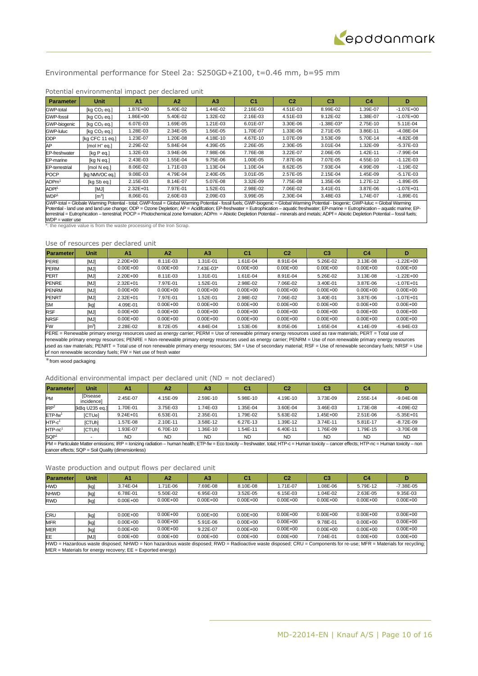## Environmental performance for Steel 2a: S250GD+Z100, t=0.46 mm, b=95 mm

| <b>Parameter</b>             | <b>Unit</b>     | A <sub>1</sub> | A2       | A <sub>3</sub> | C <sub>1</sub>                                                               | C <sub>2</sub> | C <sub>3</sub> | C4       | D                                            |
|------------------------------|-----------------|----------------|----------|----------------|------------------------------------------------------------------------------|----------------|----------------|----------|----------------------------------------------|
| <b>GWP-total</b>             | [ $kq CO2$ eq.] | 1.87E+00       | 5.40E-02 | .44E-02        | 2.16E-03                                                                     | 4.51E-03       | 8.99E-02       | 1.39E-07 | $-1.07E + 00$                                |
| <b>GWP-fossil</b>            | [kg $CO2$ eg.]  | .86E+00        | 5.40E-02 | 1.32E-02       | 2.16E-03                                                                     | 4.51E-03       | $9.12E - 02$   | 1.38E-07 | $-1.07E + 00$                                |
| GWP-biogenic                 | [kg $CO2$ eg.]  | 6.07E-03       | 1.69E-05 | 1.21E-03       | 6.01E-07                                                                     | 3.30E-06       | $-1.38E - 03*$ | 2.75E-10 | 5.11E-04                                     |
| <b>GWP-luluc</b>             | [kg $CO2$ eg.]  | I.28E-03       | 2.34E-05 | I.56E-05       | 1.70E-07                                                                     | 1.33E-06       | 2.71E-05       | 3.86E-11 | $-4.08E - 04$                                |
| <b>ODP</b>                   | [kg CFC 11 eq.] | 1.23E-07       | 1.20E-08 | 4.18E-10       | 4.67E-10                                                                     | 1.07E-09       | 3.53E-09       | 5.70E-14 | $-4.82E - 08$                                |
| AP                           | $[mol H+ eq.]$  | 2.29E-02       | 5.84E-04 | 4.39E-05       | 2.26E-05                                                                     | 2.30E-05       | 3.01E-04       | 1.32E-09 | $-5.37E - 03$                                |
| EP-freshwater                | [kg P eg.]      | I.32E-03       | 3.94E-06 | 7.98E-06       | 7.76E-08                                                                     | 3.22E-07       | 2.06E-05       | 1.42E-11 | $-7.99E - 04$                                |
| EP-marine                    | [kg N eg.]      | 2.43E-03       | 1.55E-04 | 9.75E-06       | 1.00E-05                                                                     | 7.87E-06       | 7.07E-05       | 4.55E-10 | $-1.12E - 03$                                |
| <b>EP-terrestrial</b>        | [mol N eq.]     | 8.06E-02       | 1.71E-03 | 1.13E-04       | 1.10E-04                                                                     | 8.62E-05       | 7.93E-04       | 4.99E-09 | $-1.19E - 02$                                |
| <b>POCP</b>                  | [kg NMVOC eq.]  | 9.08E-03       | 4.79E-04 | 2.40E-05       | $3.01E - 05$                                                                 | 2.57E-05       | 2.15E-04       | 1.45E-09 | $-5.17E - 03$                                |
| ADP <sub>m<sup>1</sup></sub> | [kg Sb eg.]     | 2.15E-03       | 8.14E-07 | 5.07E-08       | 3.32E-09                                                                     | 7.75E-08       | 1.35E-06       | 1.27E-12 | $-1.89E - 05$                                |
| ADPf <sup>1</sup>            | [MJ]            | $2.32E + 01$   | 7.97E-01 | 1.52E-01       | 2.98E-02                                                                     | 7.06E-02       | 3.41E-01       | 3.87E-06 | $-1.07E + 01$                                |
| WDP <sup>1</sup><br>$\sim$   | $\text{Im}^3$   | 8.06E-01       | 2.60E-03 | 2.09E-03       | 3.99E-05<br>$\alpha$ is the contract of $\alpha$ is the contract of $\alpha$ | 2.30E-04       | 3.48E-03       | 1.74E-07 | $-1.89E - 01$<br>$\sim$ $\sim$ $\sim$ $\sim$ |

## Potential environmental impact per declared unit

GWP-total = Globale Warming Potential - total; GWP-fossil = Global Warming Potential - fossil fuels; GWP-biogenic = Global Warming Potential - biogenic; GWP-luluc = Global Warming<br>Potential - land use and land use change; WDP = water use \*: the negative value is from the waste processing of the Iron Scrap.

#### Use of resources per declared unit

| <b>Parameter</b> | <b>Unit</b>      | A <sub>1</sub> | A <sub>2</sub> | A <sub>3</sub> | C <sub>1</sub> | C2           | C <sub>3</sub> | C4           | D             |
|------------------|------------------|----------------|----------------|----------------|----------------|--------------|----------------|--------------|---------------|
| PERE             | [MJ]             | $2.20E + 00$   | 8.11E-03       | 1.31E-01       | 1.61E-04       | 8.91E-04     | 5.26E-02       | 3.13E-08     | $-1.22E + 00$ |
| <b>PERM</b>      | [MJ]             | $0.00E + 00$   | $0.00E + 00$   | 7.43E-03*      | $0.00E + 00$   | $0.00E + 00$ | $0.00E + 00$   | $0.00E + 00$ | $0.00E + 00$  |
| <b>PERT</b>      | [MJ]             | $2.20E + 00$   | 8.11E-03       | 1.31E-01       | 1.61E-04       | 8.91E-04     | 5.26E-02       | 3.13E-08     | $-1.22E + 00$ |
| <b>PENRE</b>     | [MJ]             | $2.32E + 01$   | 7.97E-01       | 1.52E-01       | 2.98E-02       | 7.06E-02     | 3.40E-01       | 3.87E-06     | $-1.07E + 01$ |
| <b>PENRM</b>     | [MJ]             | $0.00E + 00$   | $0.00E + 00$   | $0.00E + 00$   | $0.00E + 00$   | $0.00E + 00$ | $0.00E + 00$   | $0.00E + 00$ | $0.00E + 00$  |
| <b>PENRT</b>     | [MJ]             | $2.32E + 01$   | 7.97E-01       | 1.52E-01       | 2.98E-02       | 7.06E-02     | 3.40E-01       | 3.87E-06     | $-1.07E + 01$ |
| <b>SM</b>        | [kg]             | 4.09E-01       | $0.00E + 00$   | $0.00E + 00$   | $0.00E + 00$   | $0.00E + 00$ | $0.00E + 00$   | $0.00E + 00$ | $0.00E + 00$  |
| <b>RSF</b>       | [MJ]             | $0.00E + 00$   | $0.00E + 00$   | $0.00E + 00$   | $0.00E + 00$   | $0.00E + 00$ | $0.00E + 00$   | $0.00E + 00$ | $0.00E + 00$  |
| <b>NRSF</b>      | [MJ]             | $0.00E + 00$   | $0.00E + 00$   | $0.00E + 00$   | $0.00E + 00$   | $0.00E + 00$ | $0.00E + 00$   | $0.00E + 00$ | $0.00E + 00$  |
| <b>FW</b>        | $\mathsf{[m^3]}$ | 2.28E-02       | 8.72E-05       | 4.84E-04       | 1.53E-06       | 8.05E-06     | .65E-04        | 4.14E-09     | $-6.94E-03$   |

PERE = Renewable primary energy resources used as energy carrier; PERM = Use of renewable primary energy resources used as raw materials; PERT = Total use of renewable primary energy resources; PENRE = Non-renewable primary energy resources used as energy carrier; PENRM = Use of non renewable primary energy resources used as raw materials; PENRT = Total use of non renewable primary energy resources; SM = Use of secondary material; RSF = Use of renewable secondary fuels; NRSF = Use of non renewable secondary fuels; FW = Net use of fresh water

 $*$  from wood packaging

#### Additional environmental impact per declared unit ( $ND = not$  declared)

| <b>Parameter</b>                                                                                                                                                                              | <b>Unit</b>                                        | A <sub>1</sub> | A <sub>2</sub> | A3        | C1        | C <sub>2</sub> | C3        | C4        | D             |  |  |
|-----------------------------------------------------------------------------------------------------------------------------------------------------------------------------------------------|----------------------------------------------------|----------------|----------------|-----------|-----------|----------------|-----------|-----------|---------------|--|--|
| PM                                                                                                                                                                                            | [Disease<br>incidencel                             | 2.45E-07       | 4.15E-09       | 2.59E-10  | 5.98E-10  | 4.19E-10       | 3.73E-09  | 2.55E-14  | $-9.04E - 08$ |  |  |
| IRP <sup>2</sup>                                                                                                                                                                              | [kBq U235 eq.]                                     | 1.70E-01       | 3.75E-03       | 1.74E-03  | 1.35E-04  | 3.60E-04       | 3.46E-03  | 1.73E-08  | $-4.09E - 02$ |  |  |
| $ETP$ -fw <sup>1</sup>                                                                                                                                                                        | [CTUe]                                             | $9.24E + 01$   | 6.53E-01       | 2.35E-01  | 1.79E-02  | 5.63E-02       | 1.45E+00  | 2.51E-06  | $-5.35E + 01$ |  |  |
| $HTP-c1$                                                                                                                                                                                      | [CTUh]                                             | .57E-08        | 2.10E-11       | 3.58E-12  | 6.27E-13  | 1.39E-12       | 3.74E-11  | 5.81E-17  | $-8.72E - 09$ |  |  |
| $HTP-nc1$                                                                                                                                                                                     | <b>ICTUhl</b>                                      | 1.93E-07       | 6.70E-10       | 1.36E-10  | 1.54E-11  | 6.40E-11       | .76E-09   | 1.79E-15  | $-3.70E - 08$ |  |  |
| SQP <sup>1</sup>                                                                                                                                                                              |                                                    | <b>ND</b>      | <b>ND</b>      | <b>ND</b> | <b>ND</b> | <b>ND</b>      | <b>ND</b> | <b>ND</b> | <b>ND</b>     |  |  |
| PM = Particulate Matter emissions; IRP = Ionizing radiation - human health; ETP-fw = Eco toxicity - freshwater. total; HTP-c = Human toxicity - cancer effects; HTP-nc = Human toxicity - non |                                                    |                |                |           |           |                |           |           |               |  |  |
|                                                                                                                                                                                               | cancer effects; SQP = Soil Quality (dimensionless) |                |                |           |           |                |           |           |               |  |  |

| <b>Parameter</b> | <b>Unit</b> | A1                                                                                                                                                                                                                                   | A <sup>2</sup> | A <sub>3</sub> | C1           | C2           | C3           | C4           |               |
|------------------|-------------|--------------------------------------------------------------------------------------------------------------------------------------------------------------------------------------------------------------------------------------|----------------|----------------|--------------|--------------|--------------|--------------|---------------|
| <b>HWD</b>       | [kg]        | 3.74E-04                                                                                                                                                                                                                             | .71E-06        | 7.69E-08       | 8.10E-08     | 1.71E-07     | 1.08E-06     | 5.79E-12     | $-7.38E - 05$ |
| <b>NHWD</b>      | [kg]        | 6.78E-01                                                                                                                                                                                                                             | 5.50E-02       | 6.95E-03       | $3.52E-05$   | 6.15E-03     | 1.04E-02     | 2.63E-05     | 9.35E-03      |
| <b>RWD</b>       | [kg]        | $0.00E + 00$                                                                                                                                                                                                                         | $0.00E + 00$   | $0.00E + 00$   | $0.00E + 00$ | $0.00E + 00$ | $0.00E + 00$ | $0.00E + 00$ | $0.00E + 00$  |
|                  |             |                                                                                                                                                                                                                                      |                |                |              |              |              |              |               |
| <b>CRU</b>       | [kg]        | $0.00E + 00$                                                                                                                                                                                                                         | $0.00E + 00$   | $0.00E + 00$   | $0.00E + 00$ | $0.00E + 00$ | $0.00E + 00$ | $0.00E + 00$ | $0.00E + 00$  |
| <b>MFR</b>       | [kg]        | $0.00E + 00$                                                                                                                                                                                                                         | $0.00E + 00$   | 5.91E-06       | $0.00E + 00$ | $0.00E + 00$ | 9.78E-01     | $0.00E + 00$ | $0.00E + 00$  |
| <b>MER</b>       | [kg]        | $0.00E + 00$                                                                                                                                                                                                                         | $0.00E + 00$   | 9.22E-07       | $0.00E + 00$ | $0.00E + 00$ | $0.00E + 00$ | $0.00E + 00$ | $0.00E + 00$  |
| EE               | <b>IMJI</b> | $0.00E + 00$                                                                                                                                                                                                                         | $0.00E + 00$   | $0.00E + 00$   | $0.00E + 00$ | $0.00E + 00$ | 7.04E-01     | $0.00E + 00$ | $0.00E + 00$  |
|                  |             | HWD = Hazardous waste disposed; NHWD = Non hazardous waste disposed; RWD = Radioactive waste disposed; CRU = Components for re-use; MFR = Materials for recycling;<br>$MER$ = Materials for energy recovery; $EE$ = Exported energy) |                |                |              |              |              |              |               |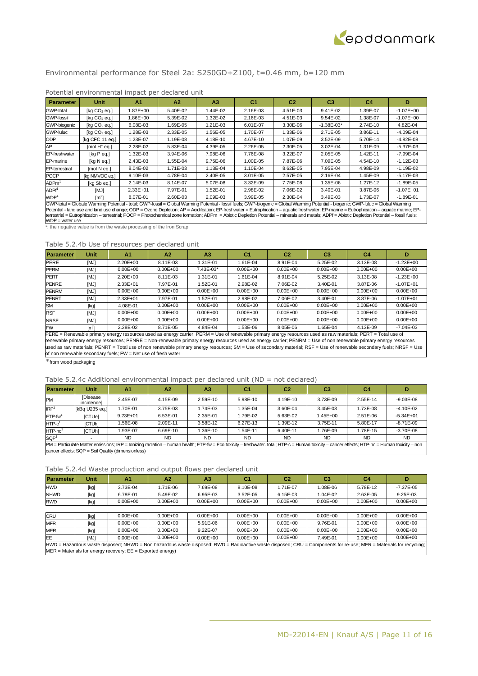

## Environmental performance for Steel 2a: S250GD+Z100, t=0.46 mm, b=120 mm

| Unit                                                                                                                                                                                                                                                                                                                                                                                                                                                                                                                                                                                                   | A <sub>1</sub> | A2       | A <sub>3</sub>                                                        | C <sub>1</sub> | C <sub>2</sub> | C <sub>3</sub> | C <sub>4</sub> | D             |  |
|--------------------------------------------------------------------------------------------------------------------------------------------------------------------------------------------------------------------------------------------------------------------------------------------------------------------------------------------------------------------------------------------------------------------------------------------------------------------------------------------------------------------------------------------------------------------------------------------------------|----------------|----------|-----------------------------------------------------------------------|----------------|----------------|----------------|----------------|---------------|--|
| [kq CO <sub>2</sub> eq.]                                                                                                                                                                                                                                                                                                                                                                                                                                                                                                                                                                               | 1.87E+00       | 5.40E-02 | 1.44E-02                                                              | 2.16E-03       | 4.51E-03       | 9.41E-02       | 1.39E-07       | $-1.07E + 00$ |  |
| [Kq CO <sub>2</sub> eq.]                                                                                                                                                                                                                                                                                                                                                                                                                                                                                                                                                                               | 1.86E+00       | 5.39E-02 | 1.32E-02                                                              | 2.16E-03       | 4.51E-03       | 9.54E-02       | 1.38E-07       | $-1.07E + 00$ |  |
| [Kq CO <sub>2</sub> eq.]                                                                                                                                                                                                                                                                                                                                                                                                                                                                                                                                                                               | 6.08E-03       | 1.69E-05 | 1.21E-03                                                              | 6.01E-07       | 3.30E-06       | $-1.38E - 03*$ | 2.74E-10       | 4.82E-04      |  |
| [kq CO <sub>2</sub> eq.]                                                                                                                                                                                                                                                                                                                                                                                                                                                                                                                                                                               | 1.28E-03       | 2.33E-05 | 1.56E-05                                                              | 1.70E-07       | 1.33E-06       | 2.71E-05       | 3.86E-11       | $-4.09E - 04$ |  |
| [kg CFC 11 eq.]                                                                                                                                                                                                                                                                                                                                                                                                                                                                                                                                                                                        | 1.23E-07       | 1.19E-08 | 4.18E-10                                                              | 4.67E-10       | 1.07E-09       | 3.52E-09       | 5.70E-14       | $-4.82E - 08$ |  |
| $[mol H+ eq.]$                                                                                                                                                                                                                                                                                                                                                                                                                                                                                                                                                                                         | 2.28E-02       | 5.83E-04 | 4.39E-05                                                              | 2.26E-05       | 2.30E-05       | 3.02E-04       | 1.31E-09       | $-5.37E - 03$ |  |
| [kg P eq.]                                                                                                                                                                                                                                                                                                                                                                                                                                                                                                                                                                                             | 1.32E-03       | 3.94E-06 | 7.98E-06                                                              | 7.76E-08       | 3.22E-07       | 2.05E-05       | 1.42E-11       | $-7.99E - 04$ |  |
| [kg N eg.]                                                                                                                                                                                                                                                                                                                                                                                                                                                                                                                                                                                             | 2.43E-03       | 1.55E-04 | 9.75E-06                                                              | 1.00E-05       | 7.87E-06       | 7.09E-05       | 4.54E-10       | $-1.12E - 03$ |  |
| [mol N eq.]                                                                                                                                                                                                                                                                                                                                                                                                                                                                                                                                                                                            | 8.04E-02       | 1.71E-03 | 1.13E-04                                                              | 1.10E-04       | 8.62E-05       | 7.95E-04       | 4.98E-09       | $-1.19E - 02$ |  |
| [kg NMVOC eq.]                                                                                                                                                                                                                                                                                                                                                                                                                                                                                                                                                                                         | 9.10E-03       | 4.78E-04 | 2.40E-05                                                              | $3.01E - 05$   | 2.57E-05       | 2.16E-04       | 1.45E-09       | $-5.17E - 03$ |  |
| [kg Sb eg.]                                                                                                                                                                                                                                                                                                                                                                                                                                                                                                                                                                                            | 2.14E-03       | 8.14E-07 | 5.07E-08                                                              | 3.32E-09       | 7.75E-08       | 1.35E-06       | 1.27E-12       | $-1.89E - 05$ |  |
| [MJ]                                                                                                                                                                                                                                                                                                                                                                                                                                                                                                                                                                                                   | 2.33E+01       | 7.97E-01 | 1.52E-01                                                              | 2.98E-02       | 7.06E-02       | 3.40E-01       | 3.87E-06       | $-1.07E + 01$ |  |
| $\lceil m^3 \rceil$                                                                                                                                                                                                                                                                                                                                                                                                                                                                                                                                                                                    | 8.07E-01       | 2.60E-03 | 2.09E-03                                                              | 3.99E-05       | 2.30E-04       | 3.49E-03       | 1.73E-07       | $-1.89E - 01$ |  |
| GWP-total = Globale Warming Potential - total; GWP-fossil = Global Warming Potential - fossil fuels; GWP-biogenic = Global Warming Potential - biogenic; GWP-luluc = Global Warming<br>Potential - land use and land use change; ODP = Ozone Depletion; AP = Acidifcation; EP-freshwater = Eutrophication - aquatic freshwater; EP-marine = Eutrophication - aquatic marine; EP-<br>terrestrial = Eutrophication - terrestrial; POCP = Photochemical zone formation; ADPm = Abiotic Depletion Potential - minerals and metals; ADPf = Abiotic Depletion Potential - fossil fuels;<br>$WDP = water$ use |                |          |                                                                       |                |                |                |                |               |  |
|                                                                                                                                                                                                                                                                                                                                                                                                                                                                                                                                                                                                        |                |          | *: the negative value is from the waste processing of the Iron Scrap. |                |                |                |                |               |  |

## Potential environmental impact per declared unit

## Table 5.2.4b Use of resources per declared unit

| <b>Parameter</b> | Unit             | A <sub>1</sub> | A2           | A <sub>3</sub> | C <sub>1</sub> | C <sub>2</sub> | C <sub>3</sub> | C4           | Đ             |
|------------------|------------------|----------------|--------------|----------------|----------------|----------------|----------------|--------------|---------------|
| <b>PERE</b>      | [MJ]             | 2.20E+00       | 8.11E-03     | 1.31E-01       | 1.61E-04       | 8.91E-04       | 5.25E-02       | 3.13E-08     | $-1.23E+00$   |
| <b>PERM</b>      | [MJ]             | $0.00E + 00$   | $0.00E + 00$ | 7.43E-03*      | $0.00E + 00$   | $0.00E + 00$   | $0.00E + 00$   | $0.00E + 00$ | $0.00E + 00$  |
| <b>PERT</b>      | [MJ]             | 2.20E+00       | 8.11E-03     | I.31E-01       | 1.61E-04       | 8.91E-04       | 5.25E-02       | 3.13E-08     | $-1.23E+00$   |
| <b>PENRE</b>     | [MJ]             | $2.33E + 01$   | 7.97E-01     | $.52E - 01$    | 2.98E-02       | 7.06E-02       | 3.40E-01       | 3.87E-06     | $-1.07E + 01$ |
| <b>PENRM</b>     | [MJ]             | $0.00E + 00$   | $0.00E + 00$ | $0.00E + 00$   | $0.00E + 00$   | $0.00E + 00$   | $0.00E + 00$   | $0.00E + 00$ | $0.00E + 00$  |
| <b>PENRT</b>     | [MJ]             | $2.33E + 01$   | 7.97E-01     | .52E-01        | 2.98E-02       | 7.06E-02       | 3.40E-01       | 3.87E-06     | $-1.07E + 01$ |
| <b>SM</b>        | [kg]             | 4.08E-01       | $0.00E + 00$ | $0.00E + 00$   | $0.00E + 00$   | $0.00E + 00$   | $0.00E + 00$   | $0.00E + 00$ | $0.00E + 00$  |
| <b>RSF</b>       | [MJ]             | $0.00E + 00$   | $0.00E + 00$ | $0.00E + 00$   | $0.00E + 00$   | $0.00E + 00$   | $0.00E + 00$   | $0.00E + 00$ | $0.00E + 00$  |
| <b>NRSF</b>      | [MJ]             | $0.00E + 00$   | $0.00E + 00$ | $0.00E + 00$   | $0.00E + 00$   | $0.00E + 00$   | $0.00E + 00$   | $0.00E + 00$ | $0.00E + 00$  |
| <b>FW</b>        | $\mathsf{[m^3]}$ | 2.28E-02       | 8.71E-05     | 4.84E-04       | 1.53E-06       | 8.05E-06       | 1.65E-04       | 4.13E-09     | $-7.04E - 03$ |

PERE = Renewable primary energy resources used as energy carrier; PERM = Use of renewable primary energy resources used as raw materials; PERT = Total use of renewable primary energy resources; PENRE = Non-renewable primary energy resources used as energy carrier; PENRM = Use of non renewable primary energy resources used as raw materials; PENRT = Total use of non renewable primary energy resources; SM = Use of secondary material; RSF = Use of renewable secondary fuels; NRSF = Use of non renewable secondary fuels; FW = Net use of fresh water

\*from wood packaging

#### Table 5.2.4c Additional environmental impact per declared unit (ND = not declared)

| <b>Parameterl</b>                                                                                                                                                                             | Unit                                               | A1           | A <sup>2</sup> | A <sub>3</sub> | C1        | C <sub>2</sub> | C3        | C <sub>4</sub> | D             |  |  |
|-----------------------------------------------------------------------------------------------------------------------------------------------------------------------------------------------|----------------------------------------------------|--------------|----------------|----------------|-----------|----------------|-----------|----------------|---------------|--|--|
| PM                                                                                                                                                                                            | <b>Disease</b><br>incidence]                       | 2.45E-07     | 4.15E-09       | 2.59E-10       | 5.98E-10  | 4.19E-10       | 3.73E-09  | 2.55E-14       | $-9.03E - 08$ |  |  |
| IRP <sup>2</sup>                                                                                                                                                                              | [kBq U235 eq.]                                     | 1.70E-01     | 3.75E-03       | .74E-03        | 1.35E-04  | 3.60E-04       | 3.45E-03  | 1.73E-08       | $-4.10E - 02$ |  |  |
| $ETP-fw1$                                                                                                                                                                                     | [CTUe]                                             | $9.23E + 01$ | 6.53E-01       | 2.35E-01       | 1.79E-02  | 5.63E-02       | 1.45E+00  | 2.51E-06       | $-5.34E + 01$ |  |  |
| $HTP-c1$                                                                                                                                                                                      | [CTUh]                                             | 1.56E-08     | 2.09E-11       | 3.58E-12       | 6.27E-13  | 1.39E-12       | 3.75E-11  | 5.80E-17       | $-8.71E-09$   |  |  |
| $HTP-nc1$                                                                                                                                                                                     | [CTUh]                                             | 1.93E-07     | 6.69E-10       | .36E-10        | 1.54E-11  | 6.40E-11       | 1.76E-09  | 1.78E-15       | $-3.70E - 08$ |  |  |
| SQP <sup>1</sup>                                                                                                                                                                              |                                                    | <b>ND</b>    | <b>ND</b>      | ND.            | <b>ND</b> | <b>ND</b>      | <b>ND</b> | <b>ND</b>      | <b>ND</b>     |  |  |
| PM = Particulate Matter emissions; IRP = Ionizing radiation - human health; ETP-fw = Eco toxicity - freshwater. total; HTP-c = Human toxicity - cancer effects; HTP-nc = Human toxicity - non |                                                    |              |                |                |           |                |           |                |               |  |  |
|                                                                                                                                                                                               | cancer effects; SQP = Soil Quality (dimensionless) |              |                |                |           |                |           |                |               |  |  |

#### Table 5.2.4d Waste production and output flows per declared unit

|                  | Table J.Z. Tu Waste production and output nows per accidited annu |                |                |                |              |                |              |                                                                                                                                                                    |               |  |  |  |
|------------------|-------------------------------------------------------------------|----------------|----------------|----------------|--------------|----------------|--------------|--------------------------------------------------------------------------------------------------------------------------------------------------------------------|---------------|--|--|--|
| <b>Parameter</b> | <b>Unit</b>                                                       | A <sub>1</sub> | A <sub>2</sub> | A <sub>3</sub> | C1           | C <sub>2</sub> | C3           | C4                                                                                                                                                                 |               |  |  |  |
| <b>HWD</b>       | [kg]                                                              | 3.73E-04       | 1.71E-06       | 7.69E-08       | 8.10E-08     | 1.71E-07       | 1.08E-06     | 5.78E-12                                                                                                                                                           | $-7.37E - 05$ |  |  |  |
| <b>NHWD</b>      | [kg]                                                              | 6.78E-01       | 5.49E-02       | 6.95E-03       | 3.52E-05     | 6.15E-03       | 1.04E-02     | 2.63E-05                                                                                                                                                           | $9.25E-03$    |  |  |  |
| <b>RWD</b>       | [kg]                                                              | $0.00E + 00$   | $0.00E + 00$   | $0.00E + 00$   | $0.00E + 00$ | $0.00E + 00$   | $0.00E + 00$ | $0.00E + 00$                                                                                                                                                       | $0.00E + 00$  |  |  |  |
|                  |                                                                   |                |                |                |              |                |              |                                                                                                                                                                    |               |  |  |  |
| <b>CRU</b>       | [kg]                                                              | $0.00E + 00$   | $0.00E + 00$   | $0.00E + 00$   | $0.00E + 00$ | $0.00E + 00$   | $0.00E + 00$ | $0.00E + 00$                                                                                                                                                       | $0.00E + 00$  |  |  |  |
| <b>MFR</b>       | [kg]                                                              | $0.00E + 00$   | $0.00E + 00$   | 5.91E-06       | $0.00E + 00$ | $0.00E + 00$   | 9.76E-01     | $0.00E + 00$                                                                                                                                                       | $0.00E + 00$  |  |  |  |
| <b>MER</b>       | [kg]                                                              | $0.00E + 00$   | $0.00E + 00$   | 9.22E-07       | $0.00E + 00$ | $0.00E + 00$   | $0.00E + 00$ | $0.00E + 00$                                                                                                                                                       | $0.00E + 00$  |  |  |  |
| EE               | [MJ]                                                              | $0.00E + 00$   | $0.00E + 00$   | $0.00E + 00$   | $0.00E + 00$ | $0.00E + 00$   | 7.49E-01     | $0.00E + 00$                                                                                                                                                       | $0.00E + 00$  |  |  |  |
|                  |                                                                   |                |                |                |              |                |              | HWD = Hazardous waste disposed; NHWD = Non hazardous waste disposed; RWD = Radioactive waste disposed; CRU = Components for re-use; MFR = Materials for recycling; |               |  |  |  |
|                  | $MER$ = Materials for energy recovery; $EE$ = Exported energy)    |                |                |                |              |                |              |                                                                                                                                                                    |               |  |  |  |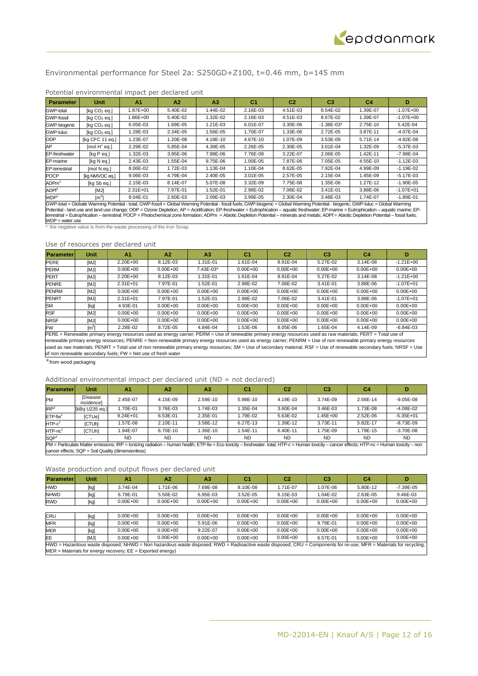

## Environmental performance for Steel 2a: S250GD+Z100, t=0.46 mm, b=145 mm

| <b>Parameter</b>      | Unit                                                                                                                                                                                                                                                                                                                                                                                                                                                                                                                                                                              | A1           | A2       | A3       | C <sub>1</sub> | C2       | C <sub>3</sub> | C <sub>4</sub> | D             |  |  |
|-----------------------|-----------------------------------------------------------------------------------------------------------------------------------------------------------------------------------------------------------------------------------------------------------------------------------------------------------------------------------------------------------------------------------------------------------------------------------------------------------------------------------------------------------------------------------------------------------------------------------|--------------|----------|----------|----------------|----------|----------------|----------------|---------------|--|--|
| GWP-total             | [kq CO <sub>2</sub> eq.]                                                                                                                                                                                                                                                                                                                                                                                                                                                                                                                                                          | 1.87E+00     | 5.40E-02 | 1.44E-02 | 2.16E-03       | 4.51E-03 | 8.54E-02       | 1.39E-07       | $-1.07E + 00$ |  |  |
| <b>GWP-fossil</b>     | [kq CO <sub>2</sub> eq.]                                                                                                                                                                                                                                                                                                                                                                                                                                                                                                                                                          | .86E+00      | 5.40E-02 | 1.32E-02 | 2.16E-03       | 4.51E-03 | 8.67E-02       | 1.39E-07       | $-1.07E + 00$ |  |  |
| GWP-biogenic          | [kq CO <sub>2</sub> eq.]                                                                                                                                                                                                                                                                                                                                                                                                                                                                                                                                                          | $6.05E-03$   | 1.69E-05 | 1.21E-03 | 6.01E-07       | 3.30E-06 | $-1.38E - 03*$ | 2.75E-10       | 5.42E-04      |  |  |
| GWP-luluc             | [kq CO <sub>2</sub> eq.]                                                                                                                                                                                                                                                                                                                                                                                                                                                                                                                                                          | 1.28E-03     | 2.34E-05 | 1.56E-05 | 1.70E-07       | 1.33E-06 | 2.72E-05       | 3.87E-11       | $-4.07E - 04$ |  |  |
| <b>ODP</b>            | [kg CFC 11 eq.]                                                                                                                                                                                                                                                                                                                                                                                                                                                                                                                                                                   | 1.23E-07     | 1.20E-08 | 4.18E-10 | 4.67E-10       | 1.07E-09 | 3.53E-09       | 5.71E-14       | $-4.82E - 08$ |  |  |
| AP                    | $[mol H+ eq.]$                                                                                                                                                                                                                                                                                                                                                                                                                                                                                                                                                                    | 2.29E-02     | 5.85E-04 | 4.39E-05 | 2.26E-05       | 2.30E-05 | 3.01E-04       | 1.32E-09       | $-5.37E - 03$ |  |  |
| EP-freshwater         | [kg P eg.]                                                                                                                                                                                                                                                                                                                                                                                                                                                                                                                                                                        | 1.32E-03     | 3.95E-06 | 7.98E-06 | 7.76E-08       | 3.22E-07 | 2.06E-05       | 1.42E-11       | $-7.98E - 04$ |  |  |
| EP-marine             | [kg N eg.]                                                                                                                                                                                                                                                                                                                                                                                                                                                                                                                                                                        | 2.43E-03     | 1.55E-04 | 9.75E-06 | 1.00E-05       | 7.87E-06 | 7.05E-05       | 4.55E-10       | $-1.12E - 03$ |  |  |
| <b>EP-terrestrial</b> | [mol N eq.]                                                                                                                                                                                                                                                                                                                                                                                                                                                                                                                                                                       | 8.06E-02     | 1.72E-03 | 1.13E-04 | 1.10E-04       | 8.62E-05 | 7.92E-04       | 4.99E-09       | $-1.19E - 02$ |  |  |
| <b>POCP</b>           | [ka NMVOC ea.]                                                                                                                                                                                                                                                                                                                                                                                                                                                                                                                                                                    | $9.06E-03$   | 4.79E-04 | 2.40E-05 | $3.01E - 05$   | 2.57E-05 | 2.15E-04       | 1.45E-09       | $-5.17E - 03$ |  |  |
| $\mathsf{ADPm}^1$     | [kg Sb eg.]                                                                                                                                                                                                                                                                                                                                                                                                                                                                                                                                                                       | 2.15E-03     | 8.14E-07 | 5.07E-08 | 3.32E-09       | 7.75E-08 | 1.35E-06       | 1.27E-12       | $-1.90E - 05$ |  |  |
| ADPf <sup>1</sup>     | [MJ]                                                                                                                                                                                                                                                                                                                                                                                                                                                                                                                                                                              | $2.31E + 01$ | 7.97E-01 | 1.52E-01 | 2.98E-02       | 7.06E-02 | 3.41E-01       | 3.88E-06       | $-1.07E + 01$ |  |  |
| WDP <sup>1</sup>      | $\lceil m^3 \rceil$                                                                                                                                                                                                                                                                                                                                                                                                                                                                                                                                                               | 8.04E-01     | 2.60E-03 | 2.09E-03 | 3.99E-05       | 2.30E-04 | 3.48E-03       | 1.74E-07       | $-1.89E - 01$ |  |  |
|                       | GWP-total = Globale Warming Potential - total; GWP-fossil = Global Warming Potential - fossil fuels; GWP-biogenic = Global Warming Potential - biogenic; GWP-luluc = Global Warming<br>Potential - land use and land use change; ODP = Ozone Depletion; AP = Acidifcation; EP-freshwater = Eutrophication - aquatic freshwater; EP-marine = Eutrophication - aquatic marine; EP-<br>terrestrial = Eutrophication - terrestrial; POCP = Photochemical zone formation; ADPm = Abiotic Depletion Potential - minerals and metals; ADPf = Abiotic Depletion Potential - fossil fuels; |              |          |          |                |          |                |                |               |  |  |

## Potential environmental impact per declared unit

the negative value is from the waste processing of the Iron Scrap.

#### Use of resources per declared unit

| <b>Parameter</b> | Unit             | A <sub>1</sub> | A <sub>2</sub> | A3           | C1           | C2           | C <sub>3</sub> | C4           | D             |
|------------------|------------------|----------------|----------------|--------------|--------------|--------------|----------------|--------------|---------------|
| <b>PERE</b>      | [MJ]             | $2.20E + 00$   | 8.12E-03       | 1.31E-01     | 1.61E-04     | 8.91E-04     | 5.27E-02       | $3.14E - 08$ | $-1.21E + 00$ |
| <b>PERM</b>      | [MJ]             | $0.00E + 00$   | $0.00E + 00$   | 7.43E-03*    | $0.00E + 00$ | $0.00E + 00$ | $0.00E + 00$   | $0.00E + 00$ | $0.00E + 00$  |
| <b>PERT</b>      | [MJ]             | $2.20E + 00$   | 8.12E-03       | 1.31E-01     | 1.61E-04     | 8.91E-04     | 5.27E-02       | 3.14E-08     | $-1.21E + 00$ |
| <b>PENRE</b>     | [MJ]             | $2.31E + 01$   | 7.97E-01       | 1.52E-01     | 2.98E-02     | 7.06E-02     | 3.41E-01       | 3.88E-06     | $-1.07E + 01$ |
| <b>PENRM</b>     | [MJ]             | $0.00E + 00$   | $0.00E + 00$   | $0.00E + 00$ | $0.00E + 00$ | $0.00E + 00$ | $0.00E + 00$   | $0.00E + 00$ | $0.00E + 00$  |
| <b>PENRT</b>     | [MJ]             | $2.31E + 01$   | 7.97E-01       | 1.52E-01     | 2.98E-02     | 7.06E-02     | 3.41E-01       | 3.88E-06     | $-1.07E + 01$ |
| <b>SM</b>        | [kg]             | 4.93E-01       | $0.00E + 00$   | $0.00E + 00$ | $0.00E + 00$ | $0.00E + 00$ | $0.00E + 00$   | $0.00E + 00$ | $0.00E + 00$  |
| <b>RSF</b>       | [MJ]             | $0.00E + 00$   | $0.00E + 00$   | $0.00E + 00$ | $0.00E + 00$ | $0.00E + 00$ | $0.00E + 00$   | $0.00E + 00$ | $0.00E + 00$  |
| <b>NRSF</b>      | [MJ]             | $0.00E + 00$   | $0.00E + 00$   | $0.00E + 00$ | $0.00E + 00$ | $0.00E + 00$ | $0.00E + 00$   | $0.00E + 00$ | $0.00E + 00$  |
| <b>FW</b>        | $\mathsf{[m^3]}$ | 2.28E-02       | 8.72E-05       | 4.84E-04     | 1.53E-06     | 8.05E-06     | $.65E-04$      | 4.14E-09     | $-6.84E-03$   |

PERE = Renewable primary energy resources used as energy carrier; PERM = Use of renewable primary energy resources used as raw materials; PERT = Total use of renewable primary energy resources; PENRE = Non-renewable primary energy resources used as energy carrier; PENRM = Use of non renewable primary energy resources used as raw materials; PENRT = Total use of non renewable primary energy resources; SM = Use of secondary material; RSF = Use of renewable secondary fuels; NRSF = Use of non renewable secondary fuels; FW = Net use of fresh water

\*from wood packaging

WDP = water use

#### Additional environmental impact per declared unit ( $ND = not$  declared)

| <b>Parameterl</b>                                                                                                                                                                             | Unit                                               | A1           | A <sup>2</sup> | A <sub>3</sub> | C1        | C <sub>2</sub> | C3          | C4        | D             |  |  |
|-----------------------------------------------------------------------------------------------------------------------------------------------------------------------------------------------|----------------------------------------------------|--------------|----------------|----------------|-----------|----------------|-------------|-----------|---------------|--|--|
| <b>PM</b>                                                                                                                                                                                     | <b>Disease</b><br>incidence]                       | 2.45E-07     | 4.15E-09       | 2.59E-10       | 5.98E-10  | 4.19E-10       | $3.74E-0.9$ | 2.56E-14  | $-9.05E - 08$ |  |  |
| IRP <sup>2</sup>                                                                                                                                                                              | [kBq U235 eq.]                                     | 1.70E-01     | 3.76E-03       | .74E-03        | .35E-04   | 3.60E-04       | 3.46E-03    | 1.73E-08  | $-4.08E - 02$ |  |  |
| $ETP-fw1$                                                                                                                                                                                     | [CTUe]                                             | $9.24E + 01$ | 6.53E-01       | 2.35E-01       | 1.79E-02  | 5.63E-02       | 1.45E+00    | 2.52E-06  | $-5.35E + 01$ |  |  |
| $HTP-c1$                                                                                                                                                                                      | [CTUh]                                             | 1.57E-08     | 2.10E-11       | 3.58E-12       | 6.27E-13  | 1.39E-12       | 3.73E-11    | 5.82E-17  | $-8.73E-09$   |  |  |
| $HTP-nc1$                                                                                                                                                                                     | [CTUh]                                             | 1.94E-07     | 6.70E-10       | $.36E-10$      | 1.54E-11  | 6.40E-11       | 1.75E-09    | 1.79E-15  | $-3.70E - 08$ |  |  |
| SOP <sup>1</sup>                                                                                                                                                                              |                                                    | <b>ND</b>    | <b>ND</b>      | <b>ND</b>      | <b>ND</b> | <b>ND</b>      | <b>ND</b>   | <b>ND</b> | <b>ND</b>     |  |  |
| PM = Particulate Matter emissions; IRP = Ionizing radiation - human health; ETP-fw = Eco toxicity - freshwater. total; HTP-c = Human toxicity - cancer effects; HTP-nc = Human toxicity - non |                                                    |              |                |                |           |                |             |           |               |  |  |
|                                                                                                                                                                                               | cancer effects; SQP = Soil Quality (dimensionless) |              |                |                |           |                |             |           |               |  |  |

| <b>Parameter</b> | <b>Unit</b> | A1                                                             | A <sub>2</sub> | A3           | C <sub>1</sub> | C <sub>2</sub> | C <sub>3</sub> | C <sub>4</sub> |                                                                                                                                                                    |  |  |  |
|------------------|-------------|----------------------------------------------------------------|----------------|--------------|----------------|----------------|----------------|----------------|--------------------------------------------------------------------------------------------------------------------------------------------------------------------|--|--|--|
| <b>HWD</b>       | [kg]        | 3.74E-04                                                       | 1.71E-06       | 7.69E-08     | 8.10E-08       | 1.71E-07       | 1.07E-06       | 5.80E-12       | $-7.39E - 05$                                                                                                                                                      |  |  |  |
| <b>NHWD</b>      | [kg]        | 6.79E-01                                                       | 5.50E-02       | 6.95E-03     | $3.52E-05$     | $6.15E-03$     | 1.04E-02       | 2.63E-05       | 9.46E-03                                                                                                                                                           |  |  |  |
| <b>RWD</b>       | [kg]        | $0.00E + 00$                                                   | $0.00E + 00$   | $0.00E + 00$ | $0.00E + 00$   | $0.00E + 00$   | $0.00E + 00$   | $0.00E + 00$   | $0.00E + 00$                                                                                                                                                       |  |  |  |
|                  |             |                                                                |                |              |                |                |                |                |                                                                                                                                                                    |  |  |  |
| <b>CRU</b>       | [kg]        | $0.00E + 00$                                                   | $0.00E + 00$   | $0.00E + 00$ | $0.00E + 00$   | $0.00E + 00$   | $0.00E + 00$   | $0.00E + 00$   | $0.00E + 00$                                                                                                                                                       |  |  |  |
| <b>MFR</b>       | [kg]        | $0.00E + 00$                                                   | $0.00E + 00$   | 5.91E-06     | $0.00E + 00$   | $0.00E + 00$   | 9.79E-01       | $0.00E + 00$   | $0.00E + 00$                                                                                                                                                       |  |  |  |
| <b>MER</b>       | [kg]        | $0.00E + 00$                                                   | $0.00E + 00$   | 9.22E-07     | $0.00E + 00$   | $0.00E + 00$   | $0.00E + 00$   | $0.00E + 00$   | $0.00E + 00$                                                                                                                                                       |  |  |  |
| EE               | [MJ]        | $0.00E + 00$                                                   | $0.00E + 00$   | $0.00E + 00$ | $0.00E + 00$   | $0.00E + 00$   | 6.57E-01       | $0.00E + 00$   | $0.00E + 00$                                                                                                                                                       |  |  |  |
|                  |             |                                                                |                |              |                |                |                |                | HWD = Hazardous waste disposed; NHWD = Non hazardous waste disposed; RWD = Radioactive waste disposed; CRU = Components for re-use; MFR = Materials for recycling; |  |  |  |
|                  |             | $MER$ = Materials for energy recovery; $EE$ = Exported energy) |                |              |                |                |                |                |                                                                                                                                                                    |  |  |  |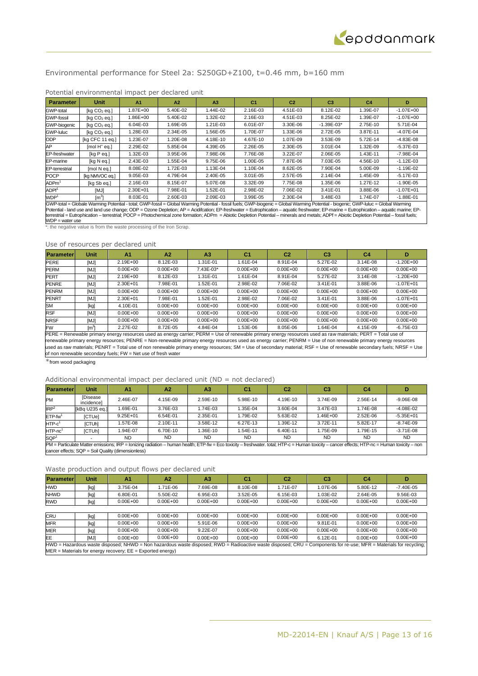## Environmental performance for Steel 2a: S250GD+Z100, t=0.46 mm, b=160 mm

| <b>Parameter</b>                                                                                                                                                                                                                                                                                                                                                                                                                                                                                                                                                                  | <b>Unit</b>              | A <sub>1</sub> | A2       | A <sub>3</sub> | C <sub>1</sub> | C <sub>2</sub> | C <sub>3</sub> | C <sub>4</sub> | D             |
|-----------------------------------------------------------------------------------------------------------------------------------------------------------------------------------------------------------------------------------------------------------------------------------------------------------------------------------------------------------------------------------------------------------------------------------------------------------------------------------------------------------------------------------------------------------------------------------|--------------------------|----------------|----------|----------------|----------------|----------------|----------------|----------------|---------------|
| GWP-total                                                                                                                                                                                                                                                                                                                                                                                                                                                                                                                                                                         | [kg CO <sub>2</sub> eq.] | .87E+00        | 5.40E-02 | 1.44E-02       | 2.16E-03       | 4.51E-03       | 8.12E-02       | 1.39E-07       | $-1.07E + 00$ |
| <b>GWP-fossil</b>                                                                                                                                                                                                                                                                                                                                                                                                                                                                                                                                                                 | [kg CO <sub>2</sub> eq.] | .86E+00        | 5.40E-02 | 1.32E-02       | 2.16E-03       | 4.51E-03       | 8.25E-02       | 1.39E-07       | $-1.07E + 00$ |
| GWP-biogenic                                                                                                                                                                                                                                                                                                                                                                                                                                                                                                                                                                      | [kg CO <sub>2</sub> eg.] | 6.04E-03       | 1.69E-05 | 1.21E-03       | 6.01E-07       | 3.30E-06       | $-1.39E - 03*$ | 2.75E-10       | 5.71E-04      |
| <b>GWP-luluc</b>                                                                                                                                                                                                                                                                                                                                                                                                                                                                                                                                                                  | [kg CO <sub>2</sub> eq.] | 1.28E-03       | 2.34E-05 | 1.56E-05       | 1.70E-07       | 1.33E-06       | 2.72E-05       | 3.87E-11       | $-4.07E - 04$ |
| <b>ODP</b>                                                                                                                                                                                                                                                                                                                                                                                                                                                                                                                                                                        | [kg CFC 11 eq.]          | 1.23E-07       | 1.20E-08 | 4.18E-10       | 4.67E-10       | 1.07E-09       | 3.53E-09       | 5.72E-14       | $-4.83E-08$   |
| AP                                                                                                                                                                                                                                                                                                                                                                                                                                                                                                                                                                                | $[mol H+ eq.]$           | 2.29E-02       | 5.85E-04 | 4.39E-05       | 2.26E-05       | 2.30E-05       | 3.01E-04       | 1.32E-09       | $-5.37E-03$   |
| EP-freshwater                                                                                                                                                                                                                                                                                                                                                                                                                                                                                                                                                                     | [kg P eq.]               | 1.32E-03       | 3.95E-06 | 7.98E-06       | 7.76E-08       | 3.22E-07       | 2.06E-05       | 1.43E-11       | $-7.98E - 04$ |
| EP-marine                                                                                                                                                                                                                                                                                                                                                                                                                                                                                                                                                                         | [kg N eg.]               | 2.43E-03       | 1.55E-04 | 9.75E-06       | 1.00E-05       | 7.87E-06       | 7.03E-05       | 4.56E-10       | $-1.12E - 03$ |
| <b>EP-terrestrial</b>                                                                                                                                                                                                                                                                                                                                                                                                                                                                                                                                                             | [mol N eq.]              | 8.08E-02       | 1.72E-03 | 1.13E-04       | 1.10E-04       | 8.62E-05       | 7.90E-04       | 5.00E-09       | $-1.19E - 02$ |
| <b>POCP</b>                                                                                                                                                                                                                                                                                                                                                                                                                                                                                                                                                                       | [kg NMVOC eq.]           | 9.05E-03       | 4.79E-04 | 2.40E-05       | $3.01E - 05$   | 2.57E-05       | 2.14E-04       | 1.45E-09       | $-5.17E-03$   |
| $\mathsf{ADPm}^1$                                                                                                                                                                                                                                                                                                                                                                                                                                                                                                                                                                 | [kg Sb eg.]              | 2.16E-03       | 8.15E-07 | 5.07E-08       | 3.32E-09       | 7.75E-08       | 1.35E-06       | 1.27E-12       | $-1.90E - 05$ |
| ADPf <sup>1</sup>                                                                                                                                                                                                                                                                                                                                                                                                                                                                                                                                                                 | [MJ]                     | 2.30E+01       | 7.98E-01 | 1.52E-01       | 2.98E-02       | 7.06E-02       | 3.41E-01       | 3.88E-06       | $-1.07E + 01$ |
| WDP <sup>1</sup><br>$\lceil m^3 \rceil$<br>3.99E-05<br>2.30E-04<br>8.03E-01<br>2.60E-03<br>2.09E-03<br>3.48E-03<br>1.74E-07<br>$-1.88E - 01$                                                                                                                                                                                                                                                                                                                                                                                                                                      |                          |                |          |                |                |                |                |                |               |
| GWP-total = Globale Warming Potential - total; GWP-fossil = Global Warming Potential - fossil fuels; GWP-biogenic = Global Warming Potential - biogenic; GWP-luluc = Global Warming<br>Potential - land use and land use change; ODP = Ozone Depletion; AP = Acidifcation; EP-freshwater = Eutrophication - aquatic freshwater; EP-marine = Eutrophication - aquatic marine; EP-<br>terrestrial = Eutrophication - terrestrial; POCP = Photochemical zone formation; ADPm = Abiotic Depletion Potential - minerals and metals; ADPf = Abiotic Depletion Potential - fossil fuels; |                          |                |          |                |                |                |                |                |               |

## Potential environmental impact per declared unit

\*: the negative value is from the waste processing of the Iron Scrap.

#### Use of resources per declared unit

| <b>Parameter</b> | Unit             | A <sub>1</sub> | A <sub>2</sub> | A3           | C1           | C2           | C <sub>3</sub> | C4           | D             |
|------------------|------------------|----------------|----------------|--------------|--------------|--------------|----------------|--------------|---------------|
| <b>PERE</b>      | [MJ]             | 2.19E+00       | 8.12E-03       | 1.31E-01     | 1.61E-04     | 8.91E-04     | 5.27E-02       | $3.14E - 08$ | $-1.20E + 00$ |
| <b>PERM</b>      | [MJ]             | $0.00E + 00$   | $0.00E + 00$   | 7.43E-03*    | $0.00E + 00$ | $0.00E + 00$ | $0.00E + 00$   | $0.00E + 00$ | $0.00E + 00$  |
| <b>PERT</b>      | [MJ]             | $2.19E + 00$   | 8.12E-03       | 1.31E-01     | 1.61E-04     | 8.91E-04     | 5.27E-02       | 3.14E-08     | $-1.20E + 00$ |
| <b>PENRE</b>     | [MJ]             | 2.30E+01       | 7.98E-01       | 1.52E-01     | 2.98E-02     | 7.06E-02     | 3.41E-01       | 3.88E-06     | $-1.07E + 01$ |
| <b>PENRM</b>     | [MJ]             | $0.00E + 00$   | $0.00E + 00$   | $0.00E + 00$ | $0.00E + 00$ | $0.00E + 00$ | $0.00E + 00$   | $0.00E + 00$ | $0.00E + 00$  |
| <b>PENRT</b>     | [MJ]             | 2.30E+01       | 7.98E-01       | 1.52E-01     | 2.98E-02     | 7.06E-02     | 3.41E-01       | 3.88E-06     | $-1.07E + 01$ |
| <b>SM</b>        | [kg]             | 4.10E-01       | $0.00E + 00$   | $0.00E + 00$ | $0.00E + 00$ | $0.00E + 00$ | $0.00E + 00$   | $0.00E + 00$ | $0.00E + 00$  |
| <b>RSF</b>       | [MJ]             | $0.00E + 00$   | $0.00E + 00$   | $0.00E + 00$ | $0.00E + 00$ | $0.00E + 00$ | $0.00E + 00$   | $0.00E + 00$ | $0.00E + 00$  |
| <b>NRSF</b>      | [MJ]             | $0.00E + 00$   | $0.00E + 00$   | $0.00E + 00$ | $0.00E + 00$ | $0.00E + 00$ | $0.00E + 00$   | $0.00E + 00$ | $0.00E + 00$  |
| <b>FW</b>        | $\mathsf{[m^3]}$ | 2.27E-02       | 8.72E-05       | 4.84E-04     | 1.53E-06     | 8.05E-06     | .64E-04        | 4.15E-09     | $-6.75E-03$   |

PERE = Renewable primary energy resources used as energy carrier; PERM = Use of renewable primary energy resources used as raw materials; PERT = Total use of renewable primary energy resources; PENRE = Non-renewable primary energy resources used as energy carrier; PENRM = Use of non renewable primary energy resources used as raw materials; PENRT = Total use of non renewable primary energy resources; SM = Use of secondary material; RSF = Use of renewable secondary fuels; NRSF = Use of non renewable secondary fuels; FW = Net use of fresh water

\*from wood packaging

WDP = water use

## Additional environmental impact per declared unit (ND = not declared)

| <b>Parameterl</b>                                                                                                                                                                             | Unit                                               | A1           | A <sup>2</sup> | A <sub>3</sub> | C <sub>1</sub> | C <sub>2</sub> | C <sub>3</sub> | C <sub>4</sub> | D             |
|-----------------------------------------------------------------------------------------------------------------------------------------------------------------------------------------------|----------------------------------------------------|--------------|----------------|----------------|----------------|----------------|----------------|----------------|---------------|
| PM                                                                                                                                                                                            | <b>Disease</b><br>incidence]                       | 2.46E-07     | 4.15E-09       | 2.59E-10       | 5.98E-10       | 4.19E-10       | 3.74E-09       | 2.56E-14       | $-9.06E - 08$ |
| IRP <sup>2</sup>                                                                                                                                                                              | [kBq U235 eq.]                                     | 1.69E-01     | 3.76E-03       | .74E-03        | 1.35E-04       | 3.60E-04       | 3.47E-03       | 1.74E-08       | $-4.08E - 02$ |
| $ETP-fw1$                                                                                                                                                                                     | [CTUe]                                             | $9.25E + 01$ | 6.54E-01       | 2.35E-01       | 1.79E-02       | 5.63E-02       | 1.46E+00       | 2.52E-06       | $-5.35E + 01$ |
| $HTP-c1$                                                                                                                                                                                      | [CTUh]                                             | 1.57E-08     | 2.10E-11       | 3.58E-12       | 6.27E-13       | 1.39E-12       | 3.72E-11       | 5.82E-17       | $-8.74E - 09$ |
| $HTP-nc1$                                                                                                                                                                                     | [CTUh]                                             | 1.94E-07     | 6.70E-10       | .36E-10        | 1.54E-11       | 6.40E-11       | 1.75E-09       | 1.79E-15       | $-3.71E-08$   |
| SQP <sup>1</sup>                                                                                                                                                                              |                                                    | <b>ND</b>    | <b>ND</b>      | ND.            | <b>ND</b>      | <b>ND</b>      | <b>ND</b>      | <b>ND</b>      | <b>ND</b>     |
| PM = Particulate Matter emissions; IRP = Ionizing radiation - human health; ETP-fw = Eco toxicity - freshwater. total; HTP-c = Human toxicity - cancer effects; HTP-nc = Human toxicity - non |                                                    |              |                |                |                |                |                |                |               |
|                                                                                                                                                                                               | cancer effects; SQP = Soil Quality (dimensionless) |              |                |                |                |                |                |                |               |

| <b>Parameter</b>                                                                                                                                                   | <b>Unit</b> | A1           | A <sub>2</sub> | A3           | C <sub>1</sub> | C <sub>2</sub> | C <sub>3</sub> | C4           |               |
|--------------------------------------------------------------------------------------------------------------------------------------------------------------------|-------------|--------------|----------------|--------------|----------------|----------------|----------------|--------------|---------------|
| <b>HWD</b>                                                                                                                                                         | [kg]        | 3.75E-04     | 1.71E-06       | 7.69E-08     | 8.10E-08       | 1.71E-07       | 1.07E-06       | 5.80E-12     | $-7.40E - 05$ |
| <b>NHWD</b>                                                                                                                                                        | [kg]        | 6.80E-01     | 5.50E-02       | 6.95E-03     | 3.52E-05       | $6.15E-03$     | 1.03E-02       | 2.64E-05     | 9.56E-03      |
| <b>RWD</b>                                                                                                                                                         | [kg]        | $0.00E + 00$ | $0.00E + 00$   | $0.00E + 00$ | $0.00E + 00$   | $0.00E + 00$   | $0.00E + 00$   | $0.00E + 00$ | $0.00E + 00$  |
|                                                                                                                                                                    |             |              |                |              |                |                |                |              |               |
| <b>CRU</b>                                                                                                                                                         | [kg]        | $0.00E + 00$ | $0.00E + 00$   | $0.00E + 00$ | $0.00E + 00$   | $0.00E + 00$   | $0.00E + 00$   | $0.00E + 00$ | $0.00E + 00$  |
| <b>MFR</b>                                                                                                                                                         | [kg]        | $0.00E + 00$ | $0.00E + 00$   | 5.91E-06     | $0.00E + 00$   | $0.00E + 00$   | 9.81E-01       | $0.00E + 00$ | $0.00E + 00$  |
| <b>MER</b>                                                                                                                                                         | [kg]        | $0.00E + 00$ | $0.00E + 00$   | 9.22E-07     | $0.00E + 00$   | $0.00E + 00$   | $0.00E + 00$   | $0.00E + 00$ | $0.00E + 00$  |
| EE                                                                                                                                                                 | [MJ]        | $0.00E + 00$ | $0.00E + 00$   | $0.00E + 00$ | $0.00E + 00$   | $0.00E + 00$   | 6.12E-01       | $0.00E + 00$ | $0.00E + 00$  |
| HWD = Hazardous waste disposed; NHWD = Non hazardous waste disposed; RWD = Radioactive waste disposed; CRU = Components for re-use; MFR = Materials for recycling; |             |              |                |              |                |                |                |              |               |
| $MER$ = Materials for energy recovery; $EE$ = Exported energy)                                                                                                     |             |              |                |              |                |                |                |              |               |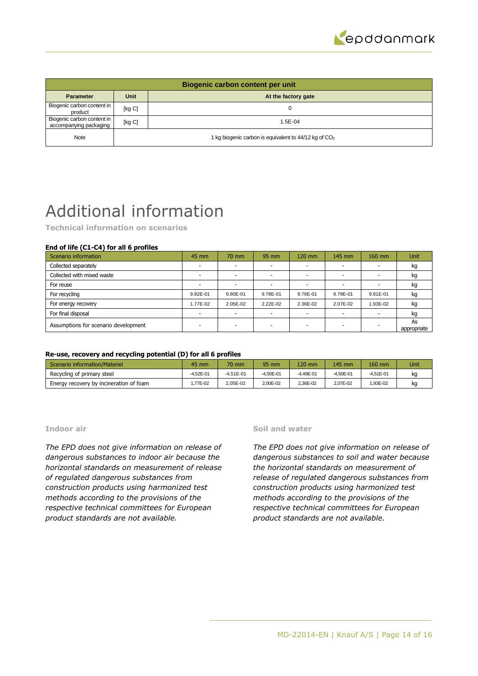

| Biogenic carbon content per unit                     |             |                                                                   |  |  |  |  |
|------------------------------------------------------|-------------|-------------------------------------------------------------------|--|--|--|--|
| <b>Parameter</b>                                     | <b>Unit</b> | At the factory gate                                               |  |  |  |  |
| Biogenic carbon content in<br>product                | [kg C]      |                                                                   |  |  |  |  |
| Biogenic carbon content in<br>accompanying packaging | [kg C]      | $1.5E - 04$                                                       |  |  |  |  |
| Note                                                 |             | 1 kg biogenic carbon is equivalent to 44/12 kg of CO <sub>2</sub> |  |  |  |  |

## Additional information

**Technical information on scenarios**

## **End of life (C1-C4) for all 6 profiles**

| Scenario information                 | 45 mm    | 70 mm                    | 95 mm    | 120 mm                   | 145 mm                   | 160 mm   | <b>Unit</b>       |
|--------------------------------------|----------|--------------------------|----------|--------------------------|--------------------------|----------|-------------------|
| Collected separately                 |          |                          |          |                          |                          |          | kg                |
| Collected with mixed waste           |          | $\overline{\phantom{a}}$ | -        | $\overline{\phantom{a}}$ | $\overline{\phantom{a}}$ | -        | kg                |
| For reuse                            |          |                          |          |                          | -                        |          | kg                |
| For recycling                        | 9.82E-01 | 9.80E-01                 | 9.78E-01 | 9.76E-01                 | 9.79E-01                 | 9.81E-01 | kg                |
| For energy recovery                  | 1.77E-02 | 2.05E-02                 | 2.22E-02 | 2.36E-02                 | 2.07E-02                 | 1.93E-02 | kg                |
| For final disposal                   |          |                          |          | $\overline{\phantom{0}}$ | -                        |          | kg                |
| Assumptions for scenario development |          |                          |          | $\overline{\phantom{a}}$ | -                        |          | As<br>appropriate |

## **Re-use, recovery and recycling potential (D) for all 6 profiles**

| Scenario information/Materiel           | 45 mm         | 70 mm       | 95 mm         | $120 \text{ mm}$ | 145 mm    | 160 mm      | Unit <sup>1</sup> |
|-----------------------------------------|---------------|-------------|---------------|------------------|-----------|-------------|-------------------|
| Recycling of primary steel              | $-4.52E - 01$ | $-4.51E-01$ | $-4.50E - 01$ | $-4.49E - 01$    | -4.50E-01 | $-4.51E-01$ | kg                |
| Energy recovery by incineration of foam | .77E-02       | 2.05E-02    | 2.00E-02      | 2.36E-02         | 2.07E-02  | 1.93E-02    | kg                |

## **Indoor air**

*The EPD does not give information on release of dangerous substances to indoor air because the horizontal standards on measurement of release of regulated dangerous substances from construction products using harmonized test methods according to the provisions of the respective technical committees for European product standards are not available.*

## **Soil and water**

*The EPD does not give information on release of dangerous substances to soil and water because the horizontal standards on measurement of release of regulated dangerous substances from construction products using harmonized test methods according to the provisions of the respective technical committees for European product standards are not available.*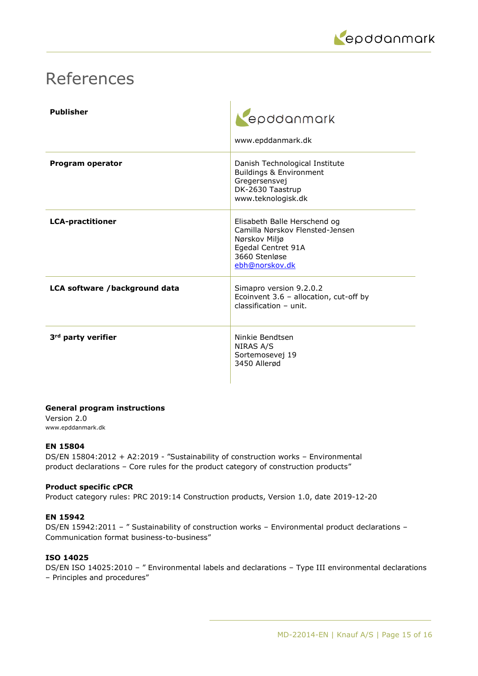

## References

| <b>Publisher</b>               | epddanmark<br>www.epddanmark.dk                                                                                                           |
|--------------------------------|-------------------------------------------------------------------------------------------------------------------------------------------|
| Program operator               | Danish Technological Institute<br>Buildings & Environment<br>Gregersensvej<br>DK-2630 Taastrup<br>www.teknologisk.dk                      |
| <b>LCA-practitioner</b>        | Elisabeth Balle Herschend og<br>Camilla Nørskov Flensted-Jensen<br>Nørskov Miljø<br>Egedal Centret 91A<br>3660 Stenløse<br>ebh@norskov.dk |
| LCA software /background data  | Simapro version 9.2.0.2<br>Ecoinvent 3.6 - allocation, cut-off by<br>$classification - unit$ .                                            |
| 3 <sup>rd</sup> party verifier | Ninkie Bendtsen<br>NIRAS A/S<br>Sortemosevej 19<br>3450 Allerød                                                                           |

## **General program instructions**

Version 2.0 www.epddanmark.dk

## **EN 15804**

DS/EN 15804:2012 + A2:2019 - "Sustainability of construction works – Environmental product declarations – Core rules for the product category of construction products"

## **Product specific cPCR**

Product category rules: PRC 2019:14 Construction products, Version 1.0, date 2019-12-20

## **EN 15942**

DS/EN 15942:2011 - " Sustainability of construction works - Environmental product declarations -Communication format business-to-business"

## **ISO 14025**

DS/EN ISO 14025:2010 – " Environmental labels and declarations – Type III environmental declarations – Principles and procedures"